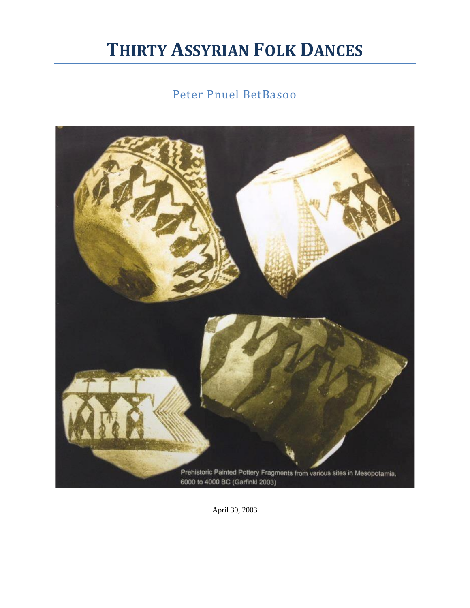## **THIRTY ASSYRIAN FOLK DANCES**

## Peter Pnuel BetBasoo



April 30, 2003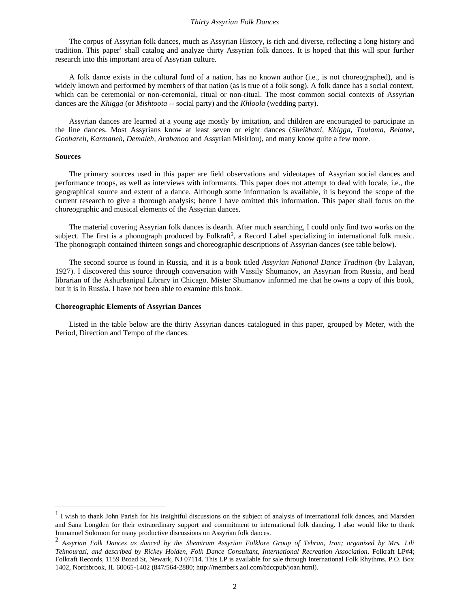The corpus of Assyrian folk dances, much as Assyrian History, is rich and diverse, reflecting a long history and tradition. This paper<sup>1</sup> shall catalog and analyze thirty Assyrian folk dances. It is hoped that this will spur further research into this important area of Assyrian culture.

A folk dance exists in the cultural fund of a nation, has no known author (i.e., is not choreographed), and is widely known and performed by members of that nation (as is true of a folk song). A folk dance has a social context, which can be ceremonial or non-ceremonial, ritual or non-ritual. The most common social contexts of Assyrian dances are the *Khigga* (or *Mishtoota* -- social party) and the *Khloola* (wedding party).

Assyrian dances are learned at a young age mostly by imitation, and children are encouraged to participate in the line dances. Most Assyrians know at least seven or eight dances (*Sheikhani, Khigga, Toulama, Belatee, Goobareh, Karmaneh, Demaleh, Arabanoo* and Assyrian Misirlou), and many know quite a few more.

#### **Sources**

The primary sources used in this paper are field observations and videotapes of Assyrian social dances and performance troops, as well as interviews with informants. This paper does not attempt to deal with locale, i.e., the geographical source and extent of a dance. Although some information is available, it is beyond the scope of the current research to give a thorough analysis; hence I have omitted this information. This paper shall focus on the choreographic and musical elements of the Assyrian dances.

The material covering Assyrian folk dances is dearth. After much searching, I could only find two works on the subject. The first is a phonograph produced by Folkraft<sup>2</sup>, a Record Label specializing in international folk music. The phonograph contained thirteen songs and choreographic descriptions of Assyrian dances (see table below).

The second source is found in Russia, and it is a book titled *Assyrian National Dance Tradition* (by Lalayan, 1927). I discovered this source through conversation with Vassily Shumanov, an Assyrian from Russia, and head librarian of the Ashurbanipal Library in Chicago. Mister Shumanov informed me that he owns a copy of this book, but it is in Russia. I have not been able to examine this book.

#### **Choreographic Elements of Assyrian Dances**

Listed in the table below are the thirty Assyrian dances catalogued in this paper, grouped by Meter, with the Period, Direction and Tempo of the dances.

 $<sup>1</sup>$  I wish to thank John Parish for his insightful discussions on the subject of analysis of international folk dances, and Marsden</sup> and Sana Longden for their extraordinary support and commitment to international folk dancing. I also would like to thank Immanuel Solomon for many productive discussions on Assyrian folk dances.

<sup>2</sup> *Assyrian Folk Dances as danced by the Shemiram Assyrian Folklore Group of Tehran, Iran; organized by Mrs. Lili Teimourazi, and described by Rickey Holden, Folk Dance Consultant, International Recreation Association*. Folkraft LP#4; Folkraft Records, 1159 Broad St, Newark, NJ 07114. This LP is available for sale through International Folk Rhythms, P.O. Box 1402, Northbrook, IL 60065-1402 (847/564-2880; http://members.aol.com/fdccpub/joan.html).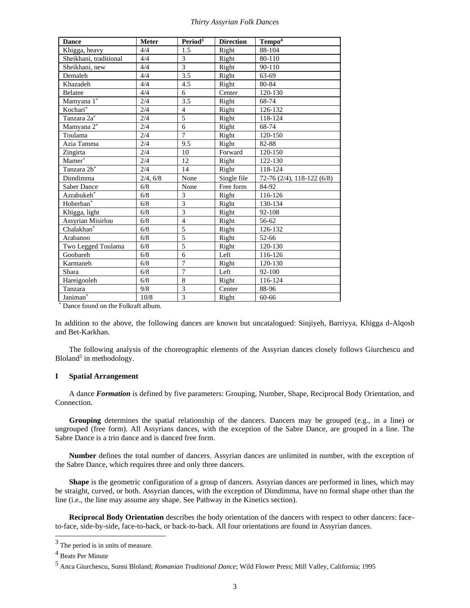| <b>Dance</b>            | <b>Meter</b> | Period <sup>3</sup> | <b>Direction</b> | Tempo <sup>4</sup>         |
|-------------------------|--------------|---------------------|------------------|----------------------------|
| Khigga, heavy           | 4/4          | 1.5                 | Right            | 88-104                     |
| Sheikhani, traditional  | 4/4          | 3                   | Right            | 80-110                     |
| Sheikhani, new          | 4/4          | $\overline{3}$      | Right            | 90-110                     |
| Demaleh                 | 4/4          | $\overline{3.5}$    | Right            | 63-69                      |
| Khazadeh                | 4/4          | 4.5                 | Right            | 80-84                      |
| Belatee                 | 4/4          | 6                   | Center           | 120-130                    |
| Mamyana 1*              | 2/4          | 3.5                 | Right            | 68-74                      |
| Kochari*                | 2/4          | $\overline{4}$      | Right            | 126-132                    |
| Tanzara 2a <sup>*</sup> | 2/4          | 5                   | Right            | 118-124                    |
| Mamyana 2*              | 2/4          | 6                   | Right            | 68-74                      |
| Toulama                 | 2/4          | $\overline{7}$      | Right            | 120-150                    |
| Azia Tamma              | 2/4          | 9.5                 | Right            | 82-88                      |
| Zingirta                | 2/4          | 10                  | Forward          | 120-150                    |
| Mamer <sup>*</sup>      | 2/4          | 12                  | Right            | 122-130                    |
| Tanzara 2b <sup>*</sup> | 2/4          | 14                  | Right            | 118-124                    |
| Dimdimma                | 2/4, 6/8     | None                | Single file      | 72-76 (2/4), 118-122 (6/8) |
| <b>Saber Dance</b>      | 6/8          | None                | Free form        | 84-92                      |
| Azrabukeh*              | 6/8          | 3                   | Right            | 116-126                    |
| Hoberban <sup>*</sup>   | 6/8          | $\overline{3}$      | Right            | 130-134                    |
| Khigga, light           | 6/8          | $\overline{3}$      | Right            | 92-108                     |
| Assyrian Misirlou       | 6/8          | $\overline{4}$      | Right            | 56-62                      |
| Chalakhan <sup>*</sup>  | 6/8          | 5                   | Right            | 126-132                    |
| Arabanoo                | 6/8          | 5                   | Right            | 52-66                      |
| Two Legged Toulama      | 6/8          | 5                   | Right            | 120-130                    |
| Goobareh                | 6/8          | 6                   | Left             | 116-126                    |
| Karmaneh                | 6/8          | $\overline{7}$      | Right            | 120-130                    |
| Shara                   | 6/8          | $\overline{7}$      | Left             | 92-100                     |
| Hareigooleh             | 6/8          | 8                   | Right            | 116-124                    |
| Tanzara                 | 9/8          | 3                   | Center           | 88-96                      |
| Janiman*                | 10/8         | $\overline{3}$      | Right            | 60-66                      |

\* Dance found on the Folkraft album.

In addition to the above, the following dances are known but uncatalogued: Sinjiyeh, Barriyya, Khigga d-Alqosh and Bet-Karkhan.

The following analysis of the choreographic elements of the Assyrian dances closely follows Giurchescu and Bloland<sup>5</sup> in methodology.

#### **I Spatial Arrangement**

A dance *Formation* is defined by five parameters: Grouping, Number, Shape, Reciprocal Body Orientation, and Connection.

**Grouping** determines the spatial relationship of the dancers. Dancers may be grouped (e.g., in a line) or ungrouped (free form). All Assyrians dances, with the exception of the Sabre Dance, are grouped in a line. The Sabre Dance is a trio dance and is danced free form.

**Number** defines the total number of dancers. Assyrian dances are unlimited in number, with the exception of the Sabre Dance, which requires three and only three dancers.

**Shape** is the geometric configuration of a group of dancers. Assyrian dances are performed in lines, which may be straight, curved, or both. Assyrian dances, with the exception of Dimdimma, have no formal shape other than the line (i.e., the line may assume any shape. See Pathway in the Kinetics section).

**Reciprocal Body Orientation** describes the body orientation of the dancers with respect to other dancers: faceto-face, side-by-side, face-to-back, or back-to-back. All four orientations are found in Assyrian dances.

 $3$  The period is in units of measure.

<sup>4</sup> Beats Per Minute

<sup>5</sup> Anca Giurchescu, Sunni Bloland; *Romanian Traditional Dance*; Wild Flower Press; Mill Valley, California; 1995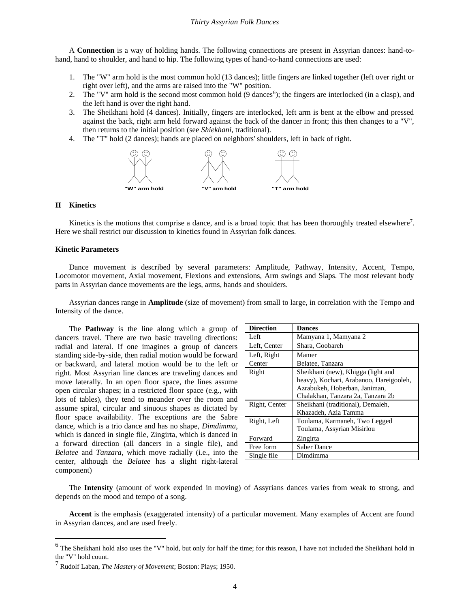A **Connection** is a way of holding hands. The following connections are present in Assyrian dances: hand-tohand, hand to shoulder, and hand to hip. The following types of hand-to-hand connections are used:

- 1. The "W" arm hold is the most common hold (13 dances); little fingers are linked together (left over right or right over left), and the arms are raised into the "W" position.
- 2. The "V" arm hold is the second most common hold (9 dances<sup>6</sup>); the fingers are interlocked (in a clasp), and the left hand is over the right hand.
- 3. The Sheikhani hold (4 dances). Initially, fingers are interlocked, left arm is bent at the elbow and pressed against the back, right arm held forward against the back of the dancer in front; this then changes to a "V", then returns to the initial position (see *Shiekhani*, traditional).
- 4. The "T" hold (2 dances); hands are placed on neighbors' shoulders, left in back of right.



#### **II Kinetics**

Kinetics is the motions that comprise a dance, and is a broad topic that has been thoroughly treated elsewhere<sup>7</sup>. Here we shall restrict our discussion to kinetics found in Assyrian folk dances.

#### **Kinetic Parameters**

Dance movement is described by several parameters: Amplitude, Pathway, Intensity, Accent, Tempo, Locomotor movement, Axial movement, Flexions and extensions, Arm swings and Slaps. The most relevant body parts in Assyrian dance movements are the legs, arms, hands and shoulders.

Assyrian dances range in **Amplitude** (size of movement) from small to large, in correlation with the Tempo and Intensity of the dance.

The **Pathway** is the line along which a group of dancers travel. There are two basic traveling directions: radial and lateral. If one imagines a group of dancers standing side-by-side, then radial motion would be forward or backward, and lateral motion would be to the left or right. Most Assyrian line dances are traveling dances and move laterally. In an open floor space, the lines assume open circular shapes; in a restricted floor space (e.g., with lots of tables), they tend to meander over the room and assume spiral, circular and sinuous shapes as dictated by floor space availability. The exceptions are the Sabre dance, which is a trio dance and has no shape, *Dimdimma*, which is danced in single file, Zingirta, which is danced in a forward direction (all dancers in a single file), and *Belatee* and *Tanzara*, which move radially (i.e., into the center, although the *Belatee* has a slight right-lateral component)

| <b>Direction</b> | <b>Dances</b>                           |
|------------------|-----------------------------------------|
| Left             | Mamyana 1, Mamyana 2                    |
| Left, Center     | Shara, Goobareh                         |
| Left, Right      | Mamer                                   |
| Center           | Belatee, Tanzara                        |
| Right            | Sheikhani (new), Khigga (light and      |
|                  | heavy), Kochari, Arabanoo, Hareigooleh, |
|                  | Azrabukeh, Hoberban, Janiman,           |
|                  | Chalakhan, Tanzara 2a, Tanzara 2b       |
| Right, Center    | Sheikhani (traditional), Demaleh,       |
|                  | Khazadeh, Azia Tamma                    |
| Right, Left      | Toulama, Karmaneh, Two Legged           |
|                  | Toulama, Assyrian Misirlou              |
| Forward          | Zingirta                                |
| Free form        | <b>Saber Dance</b>                      |
| Single file      | Dimdimma                                |

The **Intensity** (amount of work expended in moving) of Assyrians dances varies from weak to strong, and depends on the mood and tempo of a song.

**Accent** is the emphasis (exaggerated intensity) of a particular movement. Many examples of Accent are found in Assyrian dances, and are used freely.

<sup>&</sup>lt;sup>6</sup> The Sheikhani hold also uses the "V" hold, but only for half the time; for this reason, I have not included the Sheikhani hold in the "V" hold count.

<sup>7</sup> Rudolf Laban, *The Mastery of Movement*; Boston: Plays; 1950.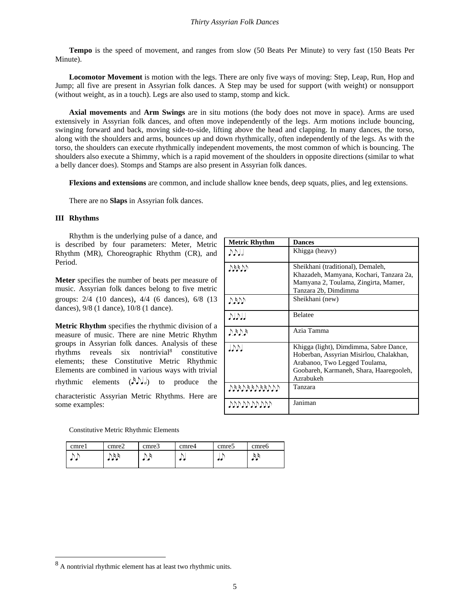**Tempo** is the speed of movement, and ranges from slow (50 Beats Per Minute) to very fast (150 Beats Per Minute).

**Locomotor Movement** is motion with the legs. There are only five ways of moving: Step, Leap, Run, Hop and Jump; all five are present in Assyrian folk dances. A Step may be used for support (with weight) or nonsupport (without weight, as in a touch). Legs are also used to stamp, stomp and kick.

**Axial movements** and **Arm Swings** are in situ motions (the body does not move in space). Arms are used extensively in Assyrian folk dances, and often move independently of the legs. Arm motions include bouncing, swinging forward and back, moving side-to-side, lifting above the head and clapping. In many dances, the torso, along with the shoulders and arms, bounces up and down rhythmically, often independently of the legs. As with the torso, the shoulders can execute rhythmically independent movements, the most common of which is bouncing. The shoulders also execute a Shimmy, which is a rapid movement of the shoulders in opposite directions (similar to what a belly dancer does). Stomps and Stamps are also present in Assyrian folk dances.

**Flexions and extensions** are common, and include shallow knee bends, deep squats, plies, and leg extensions.

There are no **Slaps** in Assyrian folk dances.

#### **III Rhythms**

Rhythm is the underlying pulse of a dance, and is described by four parameters: Meter, Metric Rhythm (MR), Choreographic Rhythm (CR), and Period.

**Meter** specifies the number of beats per measure of music. Assyrian folk dances belong to five metric groups: 2/4 (10 dances), 4/4 (6 dances), 6/8 (13 dances), 9/8 (1 dance), 10/8 (1 dance).

**Metric Rhythm** specifies the rhythmic division of a measure of music. There are nine Metric Rhythm groups in Assyrian folk dances. Analysis of these rhythms reveals six nontrivial<sup>8</sup> constitutive elements; these Constitutive Metric Rhythmic Elements are combined in various ways with trivial rhythmic elements  $(\lambda)$ , is to produce the characteristic Assyrian Metric Rhythms. Here are some examples:

| <b>Metric Rhythm</b> | <b>Dances</b>                                                                                                                                                              |
|----------------------|----------------------------------------------------------------------------------------------------------------------------------------------------------------------------|
| $D_{\rm D}$          | Khigga (heavy)                                                                                                                                                             |
| VVVV)                | Sheikhani (traditional), Demaleh,<br>Khazadeh, Mamyana, Kochari, Tanzara 2a,<br>Mamyana 2, Toulama, Zingirta, Mamer,<br>Tanzara 2b, Dimdimma                               |
| $V$ y $V$            | Sheikhani (new)                                                                                                                                                            |
| االاالا              | <b>Belatee</b>                                                                                                                                                             |
| A(d,d)               | Azia Tamma                                                                                                                                                                 |
| $J\mathcal{V}$       | Khigga (light), Dimdimma, Sabre Dance,<br>Hoberban, Assyrian Misirlou, Chalakhan,<br>Arabanoo, Two Legged Toulama,<br>Goobareh, Karmaneh, Shara, Haaregooleh,<br>Azrabukeh |
| $A$ daadaadaad       | Tanzara                                                                                                                                                                    |
| תתתתתתתתתת           | Janiman                                                                                                                                                                    |

Constitutive Metric Rhythmic Elements

| cmrel | cmre2 | cmre3 | cmre4 | cmre <sub>5</sub> | cmre6 |
|-------|-------|-------|-------|-------------------|-------|
|       |       |       | . .   |                   |       |

<sup>8</sup> A nontrivial rhythmic element has at least two rhythmic units.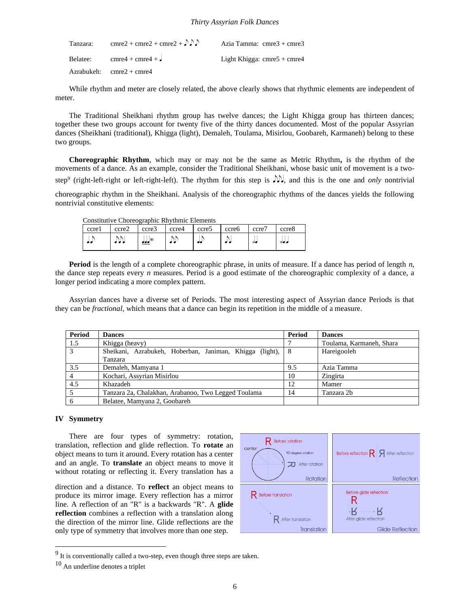| Tanzara: | cmre2 + cmre2 + cmre2 + $\bigcirc$ $\bigcirc$     | Azia Tamma: cmre3 + cmre3     |
|----------|---------------------------------------------------|-------------------------------|
|          | Belatee: $\text{cmre4} + \text{cmre4} + \text{J}$ | Light Khigga: $cmre5 + cmre4$ |
|          | $Azrabukeh:$ cmre $2 + \text{cmre4}$              |                               |

While rhythm and meter are closely related, the above clearly shows that rhythmic elements are independent of meter.

The Traditional Sheikhani rhythm group has twelve dances; the Light Khigga group has thirteen dances; together these two groups account for twenty five of the thirty dances documented. Most of the popular Assyrian dances (Sheikhani (traditional), Khigga (light), Demaleh, Toulama, Misirlou, Goobareh, Karmaneh) belong to these two groups.

**Choreographic Rhythm**, which may or may not be the same as Metric Rhythm**,** is the rhythm of the movements of a dance. As an example, consider the Traditional Sheikhani, whose basic unit of movement is a twostep<sup>9</sup> (right-left-right or left-right-left). The rhythm for this step is  $\mathcal{W}$ , and this is the one and *only* nontrivial

choreographic rhythm in the Sheikhani. Analysis of the choreographic rhythms of the dances yields the following nontrivial constitutive elements:

| ccrel | ccre2  | ccre3        | ccre4 | ccre5 | ccre <sub>6</sub> | ccre7    | ccre8          |
|-------|--------|--------------|-------|-------|-------------------|----------|----------------|
|       | للألوك | $\pm 10$<br> |       |       |                   | $\sigma$ | $\partial$ o.o |

**Period** is the length of a complete choreographic phrase, in units of measure. If a dance has period of length *n*, the dance step repeats every *n* measures. Period is a good estimate of the choreographic complexity of a dance, a longer period indicating a more complex pattern.

Assyrian dances have a diverse set of Periods. The most interesting aspect of Assyrian dance Periods is that they can be *fractional*, which means that a dance can begin its repetition in the middle of a measure.

| Period         | <b>Dances</b>                                           | Period | <b>Dances</b>            |
|----------------|---------------------------------------------------------|--------|--------------------------|
| 1.5            | Khigga (heavy)                                          |        | Toulama, Karmaneh, Shara |
| 3              | Sheikani, Azrabukeh, Hoberban, Janiman, Khigga (light), | -8     | Hareigooleh              |
|                | Tanzara                                                 |        |                          |
| 3.5            | Demaleh, Mamyana 1                                      | 9.5    | Azia Tamma               |
| $\overline{4}$ | Kochari, Assyrian Misirlou                              | 10     | Zingirta                 |
| 4.5            | Khazadeh                                                | 12     | Mamer                    |
|                | Tanzara 2a, Chalakhan, Arabanoo, Two Legged Toulama     | 14     | Tanzara 2b               |
| 6              | Belatee, Mamyana 2, Goobareh                            |        |                          |

#### **IV Symmetry**

There are four types of symmetry: rotation, translation, reflection and glide reflection. To **rotate** an object means to turn it around. Every rotation has a center and an angle. To **translate** an object means to move it without rotating or reflecting it. Every translation has a

direction and a distance. To **reflect** an object means to produce its mirror image. Every reflection has a mirror line. A reflection of an "R" is a backwards "R". A **glide reflection** combines a reflection with a translation along the direction of the mirror line. Glide reflections are the only type of symmetry that involves more than one step.



 $9<sup>9</sup>$  It is conventionally called a two-step, even though three steps are taken.

<sup>10</sup> An underline denotes a triplet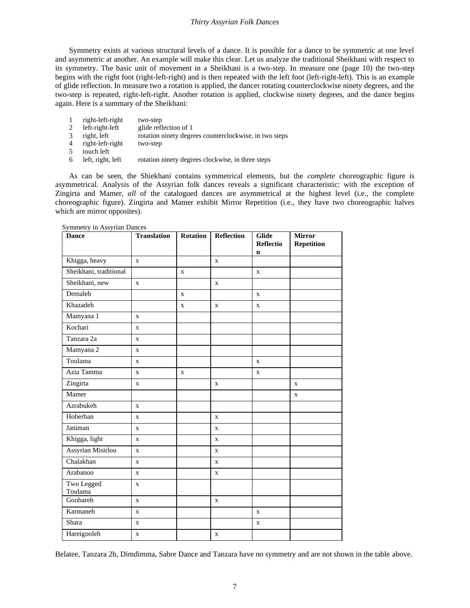Symmetry exists at various structural levels of a dance. It is possible for a dance to be symmetric at one level and asymmetric at another. An example will make this clear. Let us analyze the traditional Sheikhani with respect to its symmetry. The basic unit of movement in a Sheikhani is a two-step. In measure one (page 10) the two-step begins with the right foot (right-left-right) and is then repeated with the left foot (left-right-left). This is an example of glide reflection. In measure two a rotation is applied, the dancer rotating counterclockwise ninety degrees, and the two-step is repeated, right-left-right. Another rotation is applied, clockwise ninety degrees, and the dance begins again. Here is a summary of the Sheikhani:

- 1 right-left-right two-step
- 2 left-right-left glide reflection of 1
- 3 right, left rotation ninety degrees counterclockwise, in two steps
- 4 right-left-right two-step
- 5 touch left
- 6 left, right, left rotation ninety degrees clockwise, in three steps

As can be seen, the Shiekhani contains symmetrical elements, but the *complete* choreographic figure is asymmetrical. Analysis of the Assyrian folk dances reveals a significant characteristic: with the exception of Zingirta and Mamer, *all* of the catalogued dances are asymmetrical at the highest level (i.e., the complete choreographic figure). Zingirta and Mamer exhibit Mirror Repetition (i.e., they have two choreographic halves which are mirror opposites).

| <b>Dance</b>           | <b>Translation</b> | <b>Rotation</b> | <b>Reflection</b> | <b>Glide</b><br><b>Reflectio</b> | <b>Mirror</b><br><b>Repetition</b> |
|------------------------|--------------------|-----------------|-------------------|----------------------------------|------------------------------------|
|                        |                    |                 |                   | $\mathbf n$                      |                                    |
| Khigga, heavy          | $\mathbf{X}$       |                 | $\mathbf x$       |                                  |                                    |
| Sheikhani, traditional |                    | $\mathbf x$     |                   | $\mathbf x$                      |                                    |
| Sheikhani, new         | $\mathbf{X}$       |                 | $\mathbf x$       |                                  |                                    |
| Demaleh                |                    | $\mathbf X$     |                   | $\mathbf X$                      |                                    |
| Khazadeh               |                    | X               | $\mathbf X$       | X                                |                                    |
| Mamyana 1              | $\mathbf{x}$       |                 |                   |                                  |                                    |
| Kochari                | $\mathbf{X}$       |                 |                   |                                  |                                    |
| Tanzara 2a             | $\mathbf{X}$       |                 |                   |                                  |                                    |
| Mamyana 2              | $\mathbf{x}$       |                 |                   |                                  |                                    |
| Toulama                | $\mathbf{X}$       |                 |                   | $\mathbf x$                      |                                    |
| Azia Tamma             | X                  | X               |                   | X                                |                                    |
| Zingirta               | $\mathbf x$        |                 | $\mathbf x$       |                                  | $\mathbf{X}$                       |
| Mamer                  |                    |                 |                   |                                  | $\mathbf X$                        |
| Azrabukeh              | X                  |                 |                   |                                  |                                    |
| Hoberban               | $\mathbf{x}$       |                 | $\mathbf x$       |                                  |                                    |
| Janiman                | $\mathbf{X}$       |                 | $\mathbf x$       |                                  |                                    |
| Khigga, light          | $\mathbf{X}$       |                 | $\mathbf x$       |                                  |                                    |
| Assyrian Misirlou      | $\mathbf{X}$       |                 | $\mathbf x$       |                                  |                                    |
| Chalakhan              | $\mathbf X$        |                 | $\mathbf X$       |                                  |                                    |
| Arabanoo               | $\mathbf X$        |                 | $\mathbf X$       |                                  |                                    |
| Two Legged<br>Toulama  | $\mathbf X$        |                 |                   |                                  |                                    |
| Goobareh               | $\mathbf{x}$       |                 | $\mathbf{X}$      |                                  |                                    |
| Karmaneh               | $\mathbf X$        |                 |                   | $\mathbf X$                      |                                    |
| Shara                  | $\mathbf{X}$       |                 |                   | $\mathbf X$                      |                                    |
| Hareigooleh            | $\mathbf{X}$       |                 | $\mathbf x$       |                                  |                                    |

Symmetry in Assyrian Dances

Belatee, Tanzara 2b, Dimdimma, Sabre Dance and Tanzara have no symmetry and are not shown in the table above.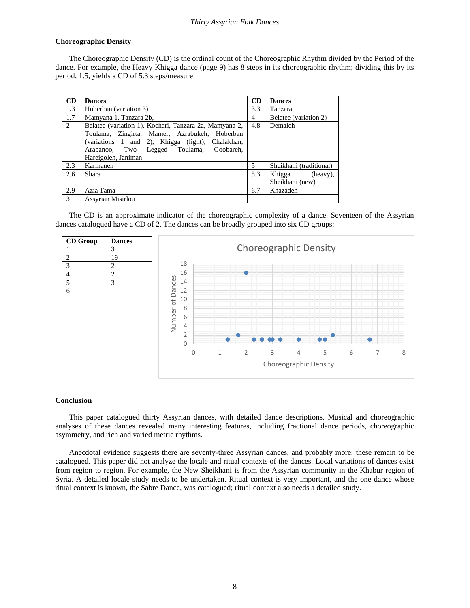#### **Choreographic Density**

The Choreographic Density (CD) is the ordinal count of the Choreographic Rhythm divided by the Period of the dance. For example, the Heavy Khigga dance (page 9) has 8 steps in its choreographic rhythm; dividing this by its period, 1.5, yields a CD of 5.3 steps/measure.

| <b>CD</b>      | <b>Dances</b>                                                                                                                                                                                                                    | <b>CD</b> | <b>Dances</b>                         |
|----------------|----------------------------------------------------------------------------------------------------------------------------------------------------------------------------------------------------------------------------------|-----------|---------------------------------------|
| 1.3            | Hoberban (variation 3)                                                                                                                                                                                                           | 3.3       | Tanzara                               |
| 1.7            | Mamyana 1, Tanzara 2b,                                                                                                                                                                                                           | 4         | Belatee (variation 2)                 |
| $\overline{2}$ | Belatee (variation 1), Kochari, Tanzara 2a, Mamyana 2,<br>Toulama, Zingirta, Mamer, Azrabukeh, Hoberban<br>(variations 1 and 2), Khigga (light), Chalakhan,<br>Arabanoo, Two Legged Toulama,<br>Goobareh.<br>Hareigoleh, Janiman | 4.8       | Demaleh                               |
| 2.3            | Karmaneh                                                                                                                                                                                                                         | 5         | Sheikhani (traditional)               |
| 2.6            | Shara                                                                                                                                                                                                                            | 5.3       | Khigga<br>(heavy).<br>Sheikhani (new) |
| 2.9            | Azia Tama                                                                                                                                                                                                                        | 6.7       | Khazadeh                              |
| 3              | Assyrian Misirlou                                                                                                                                                                                                                |           |                                       |

The CD is an approximate indicator of the choreographic complexity of a dance. Seventeen of the Assyrian dances catalogued have a CD of 2. The dances can be broadly grouped into six CD groups:

| <b>CD</b> Group | <b>Dances</b> |
|-----------------|---------------|
|                 |               |
|                 | 19            |
|                 | 2             |
|                 | 2             |
|                 |               |
|                 |               |



#### **Conclusion**

This paper catalogued thirty Assyrian dances, with detailed dance descriptions. Musical and choreographic analyses of these dances revealed many interesting features, including fractional dance periods, choreographic asymmetry, and rich and varied metric rhythms.

Anecdotal evidence suggests there are seventy-three Assyrian dances, and probably more; these remain to be catalogued. This paper did not analyze the locale and ritual contexts of the dances. Local variations of dances exist from region to region. For example, the New Sheikhani is from the Assyrian community in the Khabur region of Syria. A detailed locale study needs to be undertaken. Ritual context is very important, and the one dance whose ritual context is known, the Sabre Dance, was catalogued; ritual context also needs a detailed study.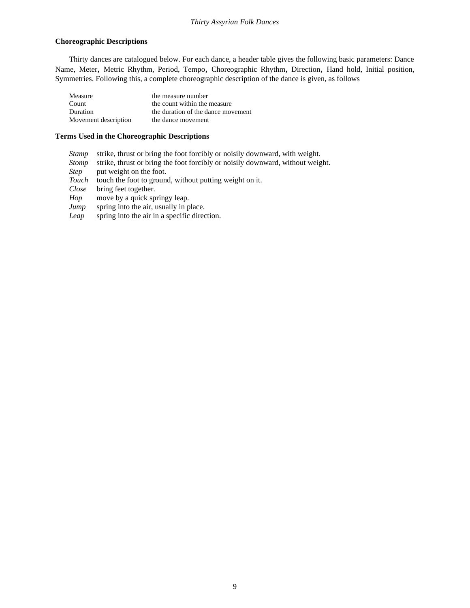#### **Choreographic Descriptions**

Thirty dances are catalogued below. For each dance, a header table gives the following basic parameters: Dance Name, Meter, Metric Rhythm, Period, Tempo, Choreographic Rhythm, Direction, Hand hold, Initial position, Symmetries. Following this, a complete choreographic description of the dance is given, as follows

| Measure              | the measure number                 |
|----------------------|------------------------------------|
| Count                | the count within the measure       |
| Duration             | the duration of the dance movement |
| Movement description | the dance movement                 |

#### **Terms Used in the Choreographic Descriptions**

- *Stamp* strike, thrust or bring the foot forcibly or noisily downward, with weight.
- *Stomp* strike, thrust or bring the foot forcibly or noisily downward, without weight.
- *Step* put weight on the foot.
- *Touch* touch the foot to ground, without putting weight on it.

*Close* bring feet together.

- *Hop* move by a quick springy leap.
- *Jump* spring into the air, usually in place.
- *Leap* spring into the air in a specific direction.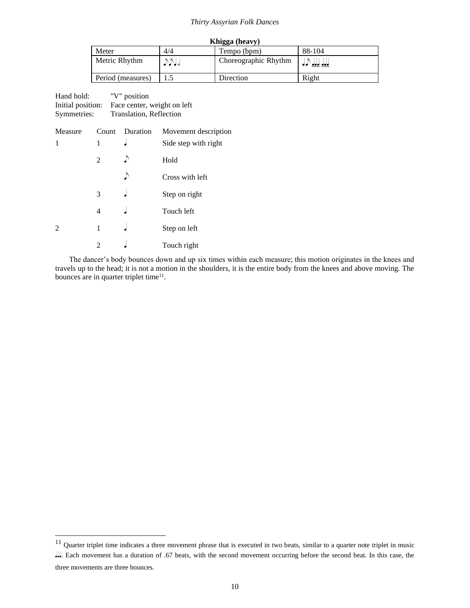| Khigga (heavy)    |      |                      |                   |
|-------------------|------|----------------------|-------------------|
| Meter             | 4/4  | Tempo (bpm)          | 88-104            |
| Metric Rhythm     | JJJJ | Choreographic Rhythm | المامام المامام ا |
| Period (measures) |      | Direction            | Right             |

| Hand hold:        | "V" position                |
|-------------------|-----------------------------|
| Initial position: | Face center, weight on left |
| Symmetries:       | Translation, Reflection     |

| Measure        |                | Count Duration | Movement description |
|----------------|----------------|----------------|----------------------|
| 1              | 1              |                | Side step with right |
|                | $\overline{2}$ |                | Hold                 |
|                |                | D              | Cross with left      |
|                | 3              |                | Step on right        |
|                | 4              |                | Touch left           |
| $\overline{2}$ | 1              |                | Step on left         |
|                | 2              |                | Touch right          |

The dancer's body bounces down and up six times within each measure; this motion originates in the knees and travels up to the head; it is not a motion in the shoulders, it is the entire body from the knees and above moving. The bounces are in quarter triplet time<sup>11</sup>.

three movements are three bounces.

 $11$  Quarter triplet time indicates a three movement phrase that is executed in two beats, similar to a quarter note triplet in music . Each movement has a duration of .67 beats, with the second movement occurring before the second beat. In this case, the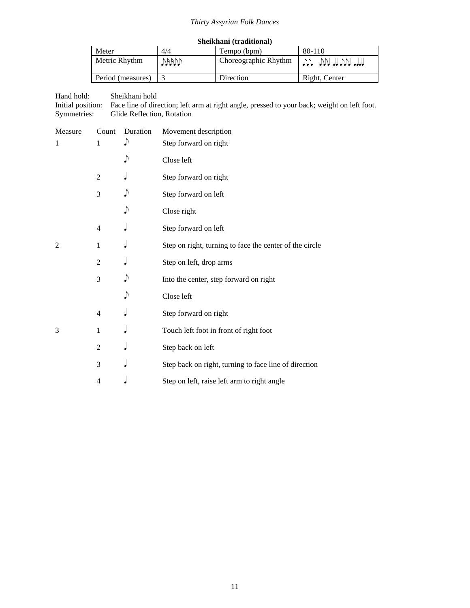|  | Sheikhani (traditional) |
|--|-------------------------|
|--|-------------------------|

| Meter             | 4/4  | Tempo (bpm)          | $80 - 110$       |
|-------------------|------|----------------------|------------------|
| Metric Rhythm     | VUND | Choreographic Rhythm | TIM NU IT VU TIM |
| Period (measures) |      | Direction            | Right, Center    |

Hand hold: Sheikhani hold

Initial position: Face line of direction; left arm at right angle, pressed to your back; weight on left foot. Symmetries: Glide Reflection, Rotation

| Measure        | Count          | Duration | Movement description                                    |
|----------------|----------------|----------|---------------------------------------------------------|
| 1              | 1              | ♪        | Step forward on right                                   |
|                |                | ♪        | Close left                                              |
|                | $\overline{2}$ |          | Step forward on right                                   |
|                | 3              |          | Step forward on left                                    |
|                |                | ♪        | Close right                                             |
|                | 4              |          | Step forward on left                                    |
| $\overline{2}$ | 1              |          | Step on right, turning to face the center of the circle |
|                | 2              |          | Step on left, drop arms                                 |
|                | 3              | ♪        | Into the center, step forward on right                  |
|                |                | ♪        | Close left                                              |
|                | 4              |          | Step forward on right                                   |
| 3              | 1              |          | Touch left foot in front of right foot                  |
|                | $\overline{c}$ |          | Step back on left                                       |
|                | 3              |          | Step back on right, turning to face line of direction   |
|                | 4              |          | Step on left, raise left arm to right angle             |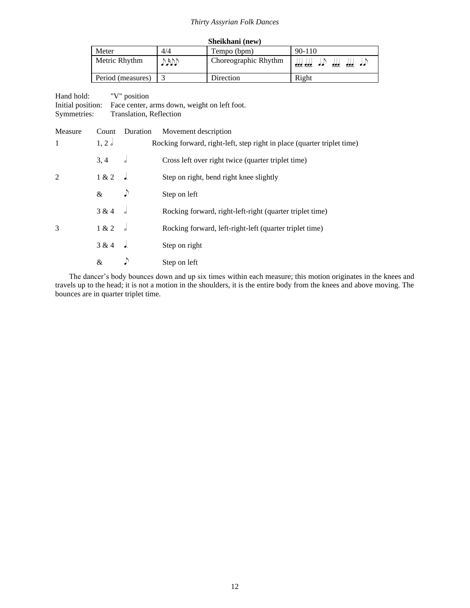| Sheikhani (new)   |       |                      |                                  |
|-------------------|-------|----------------------|----------------------------------|
| Meter             | 4/4   | Tempo (bpm)          | $90 - 110$                       |
| Metric Rhythm     | DADD. | Choreographic Rhythm | امراه الولولو المرامي<br>aaa aaa |
| Period (measures) |       | Direction            | Right                            |

| Hand hold:<br>Initial position:<br>Symmetries: |       | "V" position<br>Translation, Reflection | Face center, arms down, weight on left foot.                            |
|------------------------------------------------|-------|-----------------------------------------|-------------------------------------------------------------------------|
| Measure                                        | Count | Duration                                | Movement description                                                    |
| 1                                              | 1, 2  |                                         | Rocking forward, right-left, step right in place (quarter triplet time) |
|                                                | 3, 4  | d                                       | Cross left over right twice (quarter triplet time)                      |
| 2                                              | 1 & 2 |                                         | Step on right, bend right knee slightly                                 |
|                                                | $\&$  | $\sqrt{ }$                              | Step on left                                                            |
|                                                | 3 & 4 |                                         | Rocking forward, right-left-right (quarter triplet time)                |
| 3                                              | 1 & 2 |                                         | Rocking forward, left-right-left (quarter triplet time)                 |
|                                                | 3 & 4 |                                         | Step on right                                                           |

 $\&$   $\qquad$   $\&$  Step on left

The dancer's body bounces down and up six times within each measure; this motion originates in the knees and travels up to the head; it is not a motion in the shoulders, it is the entire body from the knees and above moving. The bounces are in quarter triplet time.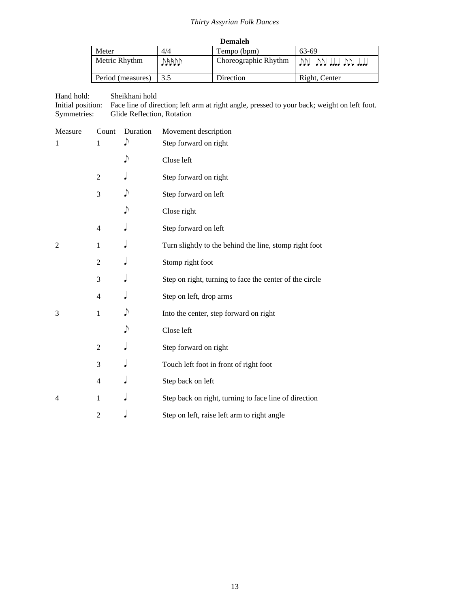| <b>Demaleh</b>    |      |                      |                       |
|-------------------|------|----------------------|-----------------------|
| Meter             | 4/4  | Tempo (bpm)          | 63-69                 |
| Metric Rhythm     | MARD | Choreographic Rhythm | ווון ועל ווון ועל ועל |
| Period (measures) | 3.5  | Direction            | Right, Center         |

Hand hold: Sheikhani hold

Initial position: Face line of direction; left arm at right angle, pressed to your back; weight on left foot. Symmetries: Glide Reflection, Rotation

| Measure        | Count          | Duration | Movement description                                    |
|----------------|----------------|----------|---------------------------------------------------------|
| 1              | 1              | ♪        | Step forward on right                                   |
|                |                | ♪        | Close left                                              |
|                | $\overline{2}$ |          | Step forward on right                                   |
|                | 3              |          | Step forward on left                                    |
|                |                |          | Close right                                             |
|                | 4              |          | Step forward on left                                    |
| $\overline{2}$ | 1              |          | Turn slightly to the behind the line, stomp right foot  |
|                | $\overline{c}$ |          | Stomp right foot                                        |
|                | 3              |          | Step on right, turning to face the center of the circle |
|                | 4              |          | Step on left, drop arms                                 |
| 3              | 1              |          | Into the center, step forward on right                  |
|                |                |          | Close left                                              |
|                | $\overline{c}$ |          | Step forward on right                                   |
|                | 3              |          | Touch left foot in front of right foot                  |
|                | 4              |          | Step back on left                                       |
| 4              | 1              |          | Step back on right, turning to face line of direction   |
|                | 2              |          | Step on left, raise left arm to right angle             |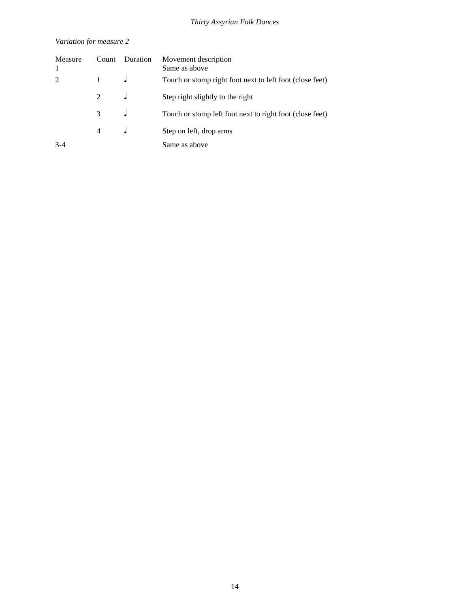## *Variation for measure 2*

| Measure        | Count         | Duration | Movement description<br>Same as above                    |
|----------------|---------------|----------|----------------------------------------------------------|
| $\mathfrak{D}$ |               |          | Touch or stomp right foot next to left foot (close feet) |
|                | $\mathcal{L}$ |          | Step right slightly to the right                         |
|                | 3             |          | Touch or stomp left foot next to right foot (close feet) |
|                |               |          | Step on left, drop arms                                  |
| $3 - 4$        |               |          | Same as above                                            |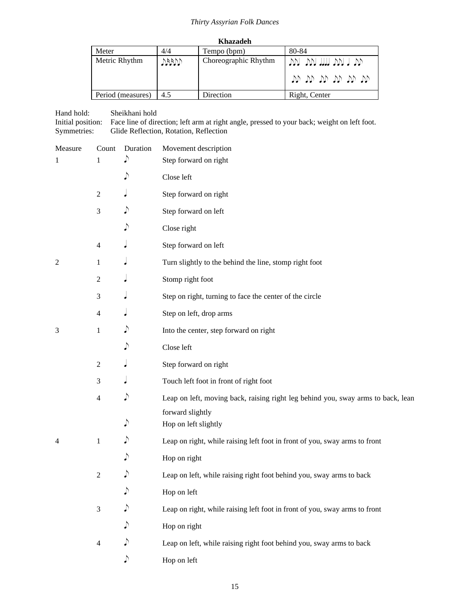| Khazadeh          |      |                      |                                               |
|-------------------|------|----------------------|-----------------------------------------------|
| Meter             | 4/4  | Tempo (bpm)          | 80-84                                         |
| Metric Rhythm     | MARI | Choreographic Rhythm | יתר רומר ווודר ומר ומר ו<br>ית יע יע יע יע יע |
| Period (measures) | 4.5  | Direction            | Right, Center                                 |

Hand hold: Sheikhani hold Initial position: Face line of direction; left arm at right angle, pressed to your back; weight on left foot. Symmetries: Glide Reflection, Rotation, Reflection

| Measure        | Count          | Duration   | Movement description                                                             |
|----------------|----------------|------------|----------------------------------------------------------------------------------|
| 1              | 1              |            | Step forward on right                                                            |
|                |                | $\sqrt{ }$ | Close left                                                                       |
|                | $\mathfrak{2}$ |            | Step forward on right                                                            |
|                | 3              | ♪          | Step forward on left                                                             |
|                |                | ♪          | Close right                                                                      |
|                | $\overline{4}$ |            | Step forward on left                                                             |
| $\overline{c}$ | 1              |            | Turn slightly to the behind the line, stomp right foot                           |
|                | $\overline{c}$ |            | Stomp right foot                                                                 |
|                | 3              |            | Step on right, turning to face the center of the circle                          |
|                | $\overline{4}$ |            | Step on left, drop arms                                                          |
| 3              | 1              | ♪          | Into the center, step forward on right                                           |
|                |                | ♪          | Close left                                                                       |
|                | $\overline{2}$ |            | Step forward on right                                                            |
|                | 3              |            | Touch left foot in front of right foot                                           |
|                | $\overline{4}$ | ♪          | Leap on left, moving back, raising right leg behind you, sway arms to back, lean |
|                |                |            | forward slightly                                                                 |
|                |                | ♪          | Hop on left slightly                                                             |
| 4              | $\mathbf{1}$   |            | Leap on right, while raising left foot in front of you, sway arms to front       |
|                |                | ♪          | Hop on right                                                                     |
|                | $\mathfrak{2}$ | ♪          | Leap on left, while raising right foot behind you, sway arms to back             |
|                |                |            | Hop on left                                                                      |
|                | $\mathfrak{Z}$ |            | Leap on right, while raising left foot in front of you, sway arms to front       |
|                |                |            | Hop on right                                                                     |
|                | $\overline{4}$ |            | Leap on left, while raising right foot behind you, sway arms to back             |
|                |                | ♪          | Hop on left                                                                      |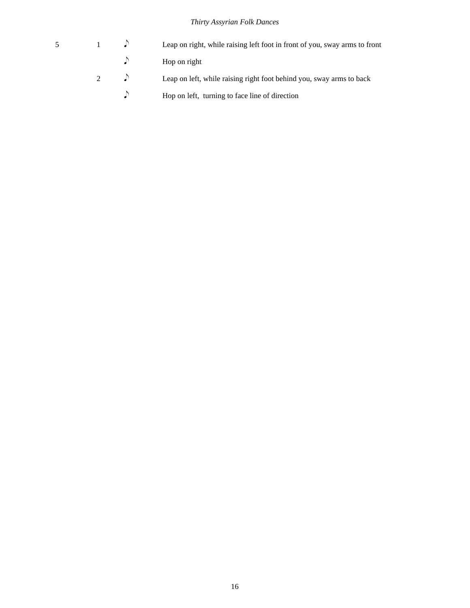| $5^{\circ}$ |  | Leap on right, while raising left foot in front of you, sway arms to front         |
|-------------|--|------------------------------------------------------------------------------------|
|             |  | $\log$ Hop on right                                                                |
|             |  | $\mathcal{D}$ Leap on left, while raising right foot behind you, sway arms to back |

 $\Diamond$  Hop on left, turning to face line of direction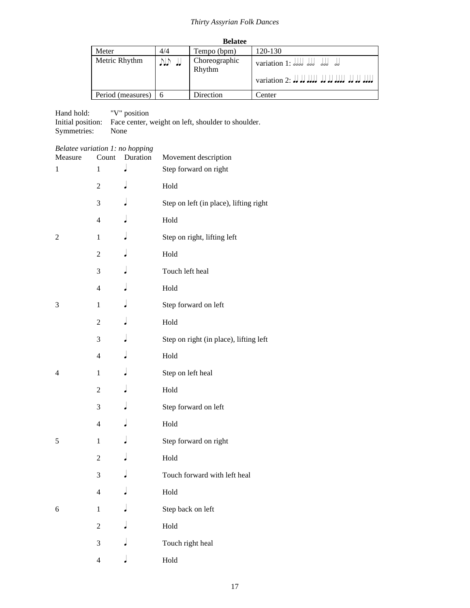| <b>Belatee</b>      |        |                                                         |                                                  |  |  |
|---------------------|--------|---------------------------------------------------------|--------------------------------------------------|--|--|
| Meter               | 4/4    | Tempo (bpm)                                             | 120-130                                          |  |  |
| Metric Rhythm       | VI) II | Choreographic<br>variation 1: dodd ddd ddd dd<br>Rhythm |                                                  |  |  |
|                     |        |                                                         | variation 2: Jo de de de de de de de de de de de |  |  |
| Period (measures) 6 |        | Direction                                               | Center                                           |  |  |

Hand hold: "V" position Initial position: Face center, weight on left, shoulder to shoulder. Symmetries: None

| Belatee variation 1: no hopping |                |          |                                        |
|---------------------------------|----------------|----------|----------------------------------------|
| Measure                         | Count          | Duration | Movement description                   |
| 1                               | 1              |          | Step forward on right                  |
|                                 | $\overline{c}$ |          | Hold                                   |
|                                 | 3              |          | Step on left (in place), lifting right |
|                                 | 4              |          | Hold                                   |
| 2                               | $\mathbf{1}$   |          | Step on right, lifting left            |
|                                 | $\mathfrak{2}$ |          | Hold                                   |
|                                 | 3              |          | Touch left heal                        |
|                                 | 4              |          | Hold                                   |
| 3                               | $\mathbf{1}$   |          | Step forward on left                   |
|                                 | $\mathfrak{2}$ |          | Hold                                   |
|                                 | 3              |          | Step on right (in place), lifting left |
|                                 | $\overline{4}$ |          | Hold                                   |
| 4                               | $\mathbf{1}$   |          | Step on left heal                      |
|                                 | $\overline{c}$ |          | Hold                                   |
|                                 | 3              |          | Step forward on left                   |
|                                 | 4              |          | Hold                                   |
| 5                               | $\mathbf{1}$   |          | Step forward on right                  |
|                                 | 2              |          | Hold                                   |
|                                 | 3              |          | Touch forward with left heal           |
|                                 | 4              |          | Hold                                   |
| 6                               | $\mathbf{1}$   |          | Step back on left                      |
|                                 | $\overline{c}$ |          | Hold                                   |
|                                 | 3              |          | Touch right heal                       |
|                                 | $\overline{4}$ |          | Hold                                   |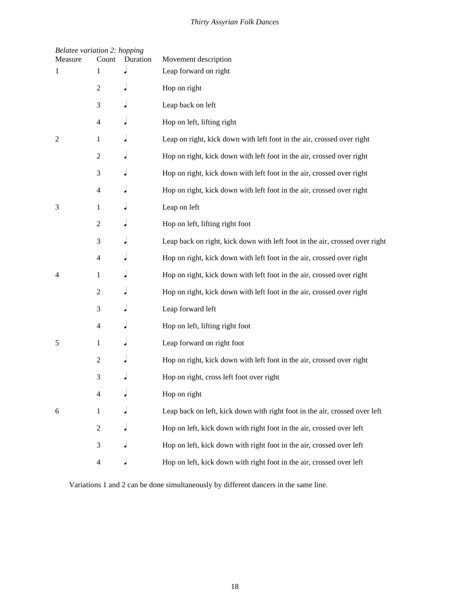| <b>Belatee variation 2: hopping</b><br>Measure | Count                    | Duration | Movement description                                                        |
|------------------------------------------------|--------------------------|----------|-----------------------------------------------------------------------------|
| 1                                              | 1                        |          | Leap forward on right                                                       |
|                                                | $\mathfrak{2}$           |          | Hop on right                                                                |
|                                                | 3                        |          | Leap back on left                                                           |
|                                                | 4                        |          | Hop on left, lifting right                                                  |
| 2                                              | 1                        |          | Leap on right, kick down with left foot in the air, crossed over right      |
|                                                | $\overline{c}$           |          | Hop on right, kick down with left foot in the air, crossed over right       |
|                                                | 3                        |          | Hop on right, kick down with left foot in the air, crossed over right       |
|                                                | $\overline{4}$           |          | Hop on right, kick down with left foot in the air, crossed over right       |
| 3                                              | 1                        |          | Leap on left                                                                |
|                                                | $\overline{c}$           |          | Hop on left, lifting right foot                                             |
|                                                | 3                        |          | Leap back on right, kick down with left foot in the air, crossed over right |
|                                                | $\overline{4}$           |          | Hop on right, kick down with left foot in the air, crossed over right       |
| 4                                              | 1                        |          | Hop on right, kick down with left foot in the air, crossed over right       |
|                                                | $\overline{c}$           |          | Hop on right, kick down with left foot in the air, crossed over right       |
|                                                | 3                        |          | Leap forward left                                                           |
|                                                | $\overline{4}$           |          | Hop on left, lifting right foot                                             |
| 5                                              | 1                        |          | Leap forward on right foot                                                  |
|                                                | $\mathfrak{2}$           |          | Hop on right, kick down with left foot in the air, crossed over right       |
|                                                | 3                        |          | Hop on right, cross left foot over right                                    |
|                                                | 4                        |          | Hop on right                                                                |
| 6                                              | $\mathbf{1}$             |          | Leap back on left, kick down with right foot in the air, crossed over left  |
|                                                | $\overline{2}$           |          | Hop on left, kick down with right foot in the air, crossed over left        |
|                                                | 3                        |          | Hop on left, kick down with right foot in the air, crossed over left        |
|                                                | $\overline{\mathcal{L}}$ |          | Hop on left, kick down with right foot in the air, crossed over left        |

Variations 1 and 2 can be done simultaneously by different dancers in the same line.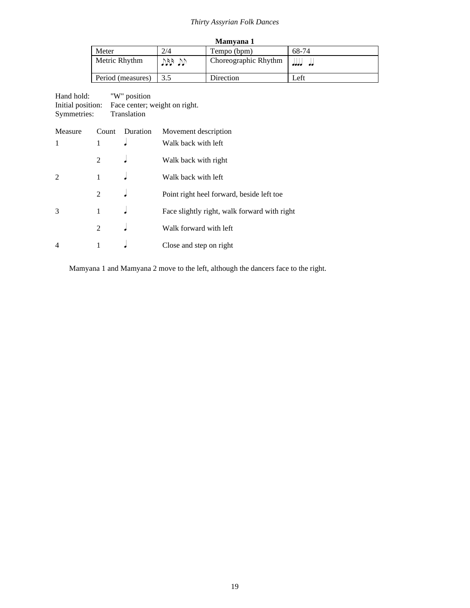| Mamyana 1         |       |                      |         |  |
|-------------------|-------|----------------------|---------|--|
| Meter             | 2/4   | Tempo (bpm)          | 68-74   |  |
| Metric Rhythm     | VU PU | Choreographic Rhythm | المامام |  |
| Period (measures) |       | Direction            | Left    |  |

| Hand hold:        | "W" position                  |
|-------------------|-------------------------------|
| Initial position: | Face center; weight on right. |
| Symmetries:       | Translation                   |

| Measure | Count          | Duration | Movement description                         |
|---------|----------------|----------|----------------------------------------------|
| 1       |                |          | Walk back with left                          |
|         | $\mathfrak{D}$ |          | Walk back with right                         |
| 2       |                |          | Walk back with left                          |
|         | 2              |          | Point right heel forward, beside left toe    |
| 3       | 1              |          | Face slightly right, walk forward with right |
|         | $\mathcal{L}$  |          | Walk forward with left                       |
| 4       |                |          | Close and step on right                      |

Mamyana 1 and Mamyana 2 move to the left, although the dancers face to the right.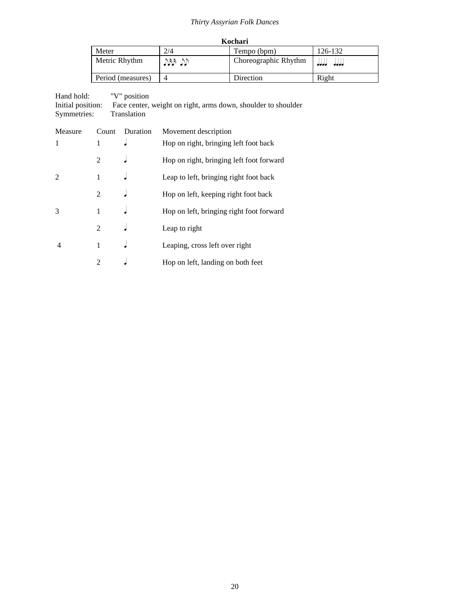| Kochari           |      |                      |         |  |
|-------------------|------|----------------------|---------|--|
| Meter             | 2/4  | Tempo (bpm)          | 126-132 |  |
| Metric Rhythm     | VI V | Choreographic Rhythm | ممد<br> |  |
| Period (measures) |      | Direction            | Right   |  |

| Hand hold:        | "V" position                                                  |
|-------------------|---------------------------------------------------------------|
| Initial position: | Face center, weight on right, arms down, shoulder to shoulder |
| Symmetries:       | Translation                                                   |

| Measure        | Count          | Duration | Movement description                     |
|----------------|----------------|----------|------------------------------------------|
| 1              | 1              |          | Hop on right, bringing left foot back    |
|                | 2              |          | Hop on right, bringing left foot forward |
| $\overline{2}$ | 1              |          | Leap to left, bringing right foot back   |
|                | $\mathfrak{D}$ |          | Hop on left, keeping right foot back     |
| 3              | 1              |          | Hop on left, bringing right foot forward |
|                | 2              |          | Leap to right                            |
| 4              | 1              |          | Leaping, cross left over right           |
|                | 2              |          | Hop on left, landing on both feet        |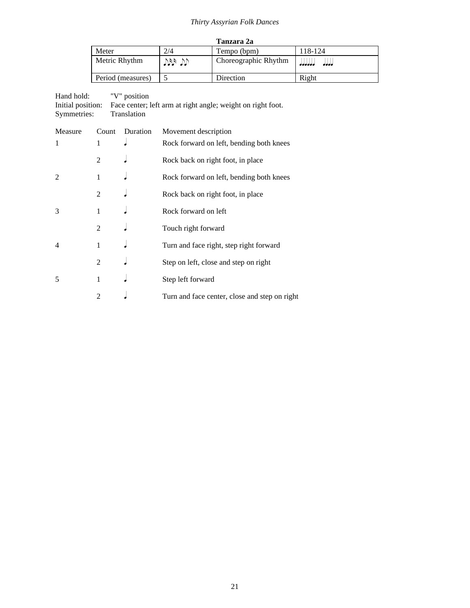| Tanzara 2a        |      |                      |         |  |
|-------------------|------|----------------------|---------|--|
| Meter             | 2/4  | Tempo (bpm)          | 118-124 |  |
| Metric Rhythm     | VI V | Choreographic Rhythm | ممد<br> |  |
| Period (measures) |      | Direction            | Right   |  |

Hand hold: "V" position Initial position: Face center; left arm at right angle; weight on right foot. Symmetries: Translation

| Measure        | Count          | Duration | Movement description                          |
|----------------|----------------|----------|-----------------------------------------------|
| 1              | 1              |          | Rock forward on left, bending both knees      |
|                | $\mathfrak{D}$ |          | Rock back on right foot, in place             |
| 2              | 1              |          | Rock forward on left, bending both knees      |
|                | 2              |          | Rock back on right foot, in place             |
| 3              | 1              |          | Rock forward on left                          |
|                | $\mathfrak{D}$ |          | Touch right forward                           |
| $\overline{4}$ | 1              |          | Turn and face right, step right forward       |
|                | 2              |          | Step on left, close and step on right         |
| 5              | 1              |          | Step left forward                             |
|                | $\mathfrak{D}$ |          | Turn and face center, close and step on right |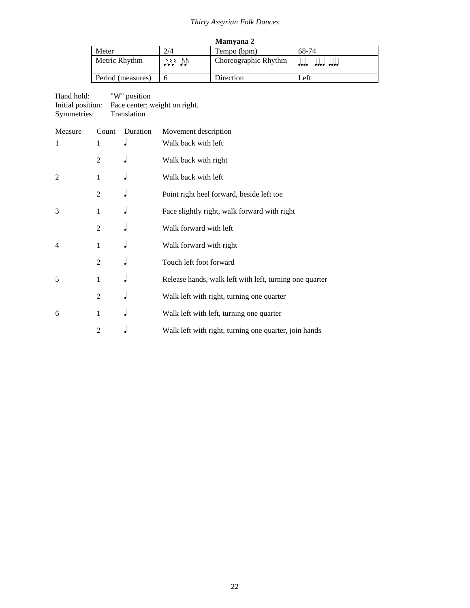|                   |           | <b>Mamyana 2</b>     |                  |
|-------------------|-----------|----------------------|------------------|
| Meter             | 2/4       | Tempo (bpm)          | 68-74            |
| Metric Rhythm     | رازا طورا | Choreographic Rhythm | aaaa aaaa<br>ممم |
| Period (measures) |           | Direction            | Left             |

| Hand hold:        | "W" position                  |
|-------------------|-------------------------------|
| Initial position: | Face center; weight on right. |
| Symmetries:       | Translation                   |

| Measure        | Count | Duration | Movement description                                    |
|----------------|-------|----------|---------------------------------------------------------|
| 1              | 1     |          | Walk back with left                                     |
|                | 2     |          | Walk back with right                                    |
| $\mathfrak{D}$ | 1     |          | Walk back with left                                     |
|                | 2     |          | Point right heel forward, beside left toe               |
| 3              | 1     |          | Face slightly right, walk forward with right            |
|                | 2     |          | Walk forward with left                                  |
| 4              | 1     |          | Walk forward with right                                 |
|                | 2     |          | Touch left foot forward                                 |
| 5              | 1     |          | Release hands, walk left with left, turning one quarter |
|                | 2     |          | Walk left with right, turning one quarter               |
| 6              | 1     |          | Walk left with left, turning one quarter                |
|                | 2     |          | Walk left with right, turning one quarter, join hands   |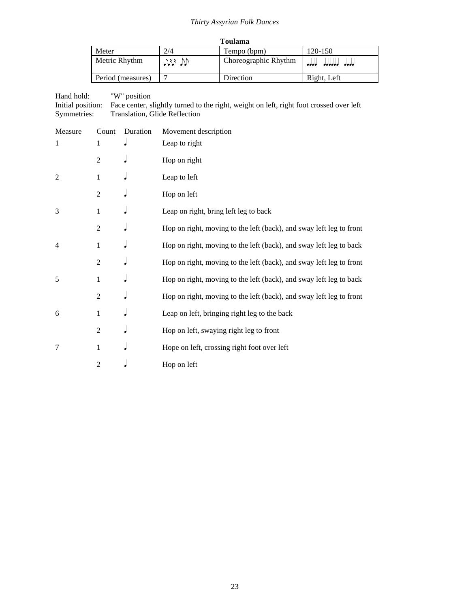|                   |       | <b>Toulama</b>       |                       |
|-------------------|-------|----------------------|-----------------------|
| Meter             | 2/4   | Tempo (bpm)          | 120-150               |
| Metric Rhythm     | VB VV | Choreographic Rhythm | الملابات الملابات<br> |
| Period (measures) |       | Direction            | Right, Left           |

Hand hold: "W" position Initial position: Face center, slightly turned to the right, weight on left, right foot crossed over left Symmetries: Translation, Glide Reflection

| Measure | Count          | Duration | Movement description                                                |
|---------|----------------|----------|---------------------------------------------------------------------|
| 1       | 1              |          | Leap to right                                                       |
|         | $\overline{2}$ |          | Hop on right                                                        |
| 2       | 1              |          | Leap to left                                                        |
|         | $\mathfrak{2}$ |          | Hop on left                                                         |
| 3       | $\mathbf{1}$   |          | Leap on right, bring left leg to back                               |
|         | $\overline{2}$ |          | Hop on right, moving to the left (back), and sway left leg to front |
| 4       | 1              |          | Hop on right, moving to the left (back), and sway left leg to back  |
|         | $\mathfrak{2}$ |          | Hop on right, moving to the left (back), and sway left leg to front |
| 5       | 1              |          | Hop on right, moving to the left (back), and sway left leg to back  |
|         | $\overline{2}$ |          | Hop on right, moving to the left (back), and sway left leg to front |
| 6       | 1              |          | Leap on left, bringing right leg to the back                        |
|         | $\overline{2}$ |          | Hop on left, swaying right leg to front                             |
| 7       | 1              |          | Hope on left, crossing right foot over left                         |
|         | $\overline{2}$ |          | Hop on left                                                         |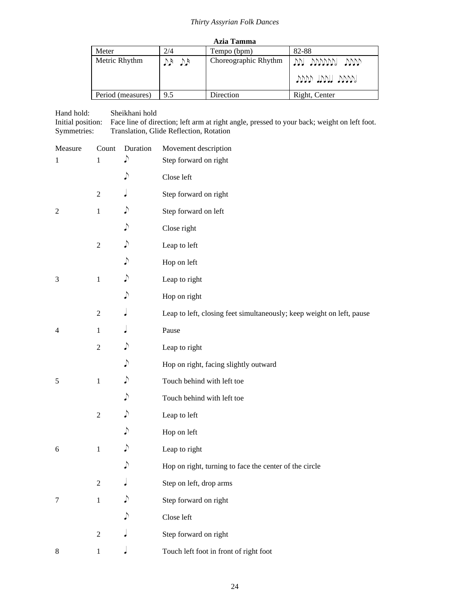| Azia Tamma        |         |                      |                                |
|-------------------|---------|----------------------|--------------------------------|
| Meter             | 2/4     | Tempo (bpm)          | 82-88                          |
| Metric Rhythm     | $40$ dy | Choreographic Rhythm | VVI VVVVVVI VVV<br>www myn www |
| Period (measures) | 9.5     | Direction            | Right, Center                  |

| Hand hold:<br>Initial position:<br>Symmetries:<br>Translation, Glide Reflection, Rotation |                  | Sheikhani hold | Face line of direction; left arm at right angle, pressed to your back; weight on left foot. |
|-------------------------------------------------------------------------------------------|------------------|----------------|---------------------------------------------------------------------------------------------|
| Measure                                                                                   | Count            | Duration       | Movement description                                                                        |
| 1                                                                                         | $\mathbf{1}$     | ♪              | Step forward on right                                                                       |
|                                                                                           |                  | ♪              | Close left                                                                                  |
|                                                                                           | $\overline{c}$   |                | Step forward on right                                                                       |
| $\overline{2}$                                                                            | $\mathbf{1}$     | ♪              | Step forward on left                                                                        |
|                                                                                           |                  | ♪              | Close right                                                                                 |
|                                                                                           | $\overline{c}$   | ♪              | Leap to left                                                                                |
|                                                                                           |                  | ♪              | Hop on left                                                                                 |
| 3                                                                                         | $\,1$            | ♪              | Leap to right                                                                               |
|                                                                                           |                  | ♪              | Hop on right                                                                                |
|                                                                                           | $\boldsymbol{2}$ |                | Leap to left, closing feet simultaneously; keep weight on left, pause                       |
| $\overline{4}$                                                                            | $\mathbf{1}$     |                | Pause                                                                                       |
|                                                                                           | $\boldsymbol{2}$ | ♪              | Leap to right                                                                               |
|                                                                                           |                  | ♪              | Hop on right, facing slightly outward                                                       |
| 5                                                                                         | $\mathbf{1}$     | ♪              | Touch behind with left toe                                                                  |
|                                                                                           |                  | ♪              | Touch behind with left toe                                                                  |
|                                                                                           | $\mathfrak{2}$   | ♪              | Leap to left                                                                                |
|                                                                                           |                  | ♪              | Hop on left                                                                                 |
| 6                                                                                         | 1                | ♪              | Leap to right                                                                               |
|                                                                                           |                  |                | Hop on right, turning to face the center of the circle                                      |
|                                                                                           | $\overline{2}$   |                | Step on left, drop arms                                                                     |
| 7                                                                                         | $\mathbf{1}$     |                | Step forward on right                                                                       |
|                                                                                           |                  |                | Close left                                                                                  |
|                                                                                           | $\mathfrak{2}$   |                | Step forward on right                                                                       |
| $\,8\,$                                                                                   | 1                |                | Touch left foot in front of right foot                                                      |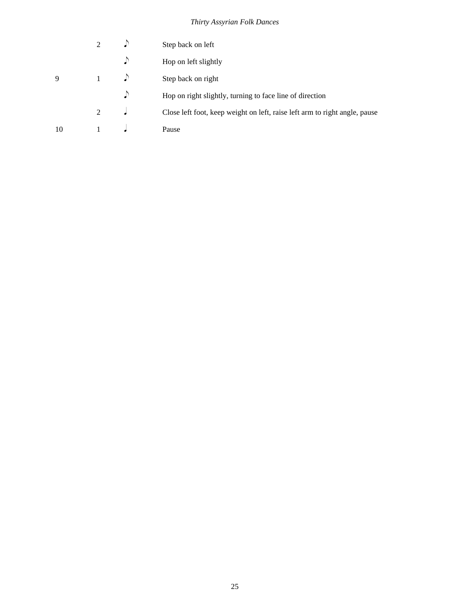|    |   | Step back on left                                                          |
|----|---|----------------------------------------------------------------------------|
|    |   | Hop on left slightly                                                       |
| 9  |   | Step back on right                                                         |
|    |   | Hop on right slightly, turning to face line of direction                   |
|    | 2 | Close left foot, keep weight on left, raise left arm to right angle, pause |
| 10 |   | Pause                                                                      |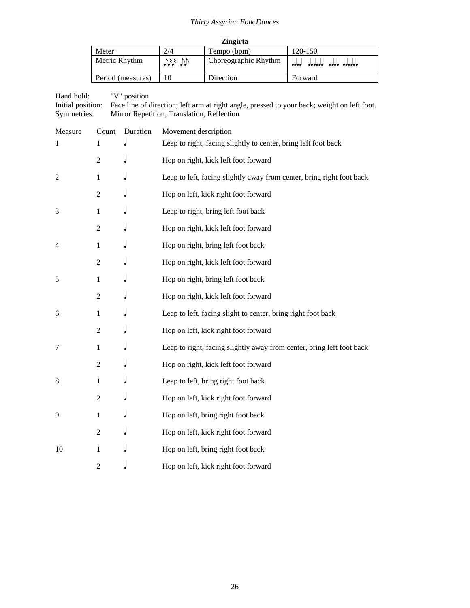| <b>Zingirta</b>   |       |                      |                                     |  |
|-------------------|-------|----------------------|-------------------------------------|--|
| Meter             | 2/4   | Tempo (bpm)          | $120 - 150$                         |  |
| Metric Rhythm     | VB VV | Choreographic Rhythm | المتحامات لمتعامل المتعاملين<br>ممد |  |
| Period (measures) | 10    | Direction            | Forward                             |  |

Hand hold: "V" position Initial position: Face line of direction; left arm at right angle, pressed to your back; weight on left foot. Symmetries: Mirror Repetition, Translation, Reflection

| Measure | Count          | Duration | Movement description                                                  |
|---------|----------------|----------|-----------------------------------------------------------------------|
| 1       | 1              |          | Leap to right, facing slightly to center, bring left foot back        |
|         | $\overline{2}$ |          | Hop on right, kick left foot forward                                  |
| 2       | 1              |          | Leap to left, facing slightly away from center, bring right foot back |
|         | $\overline{c}$ |          | Hop on left, kick right foot forward                                  |
| 3       | 1              |          | Leap to right, bring left foot back                                   |
|         | $\overline{2}$ |          | Hop on right, kick left foot forward                                  |
| 4       | $\mathbf{1}$   |          | Hop on right, bring left foot back                                    |
|         | $\mathfrak{2}$ |          | Hop on right, kick left foot forward                                  |
| 5       | 1              |          | Hop on right, bring left foot back                                    |
|         | $\mathfrak{2}$ |          | Hop on right, kick left foot forward                                  |
| 6       | 1              |          | Leap to left, facing slight to center, bring right foot back          |
|         | $\overline{2}$ |          | Hop on left, kick right foot forward                                  |
| $\tau$  | $\mathbf{1}$   |          | Leap to right, facing slightly away from center, bring left foot back |
|         | $\overline{2}$ |          | Hop on right, kick left foot forward                                  |
| 8       | 1              |          | Leap to left, bring right foot back                                   |
|         | $\overline{2}$ |          | Hop on left, kick right foot forward                                  |
| 9       | $\mathbf{1}$   |          | Hop on left, bring right foot back                                    |
|         | $\overline{c}$ |          | Hop on left, kick right foot forward                                  |
| 10      | 1              |          | Hop on left, bring right foot back                                    |
|         | $\overline{2}$ |          | Hop on left, kick right foot forward                                  |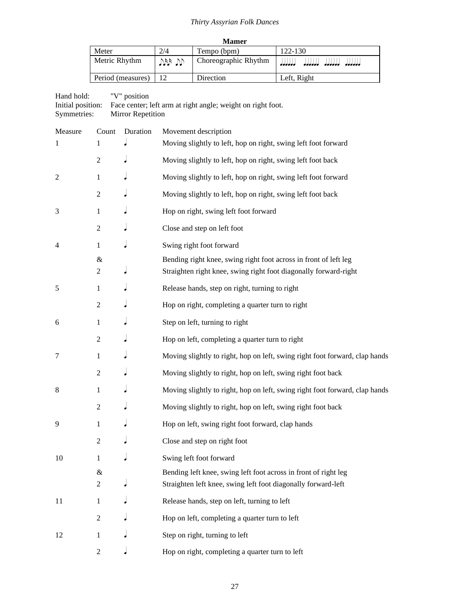| <b>Mamer</b>      |       |                      |                                        |  |  |
|-------------------|-------|----------------------|----------------------------------------|--|--|
| Meter             | 2/4   | Tempo (bpm)          | 122-130                                |  |  |
| Metric Rhythm     | VB VV | Choreographic Rhythm | لملململم<br>المامامام الماماماماما<br> |  |  |
| Period (measures) |       | Direction            | Left, Right                            |  |  |

### Hand hold: "V" position Initial position: Face center; left arm at right angle; weight on right foot. Symmetries: Mirror Repetition

| Measure | Count               | Duration | Movement description                                                                                                                 |
|---------|---------------------|----------|--------------------------------------------------------------------------------------------------------------------------------------|
| 1       | 1                   |          | Moving slightly to left, hop on right, swing left foot forward                                                                       |
|         | $\boldsymbol{2}$    |          | Moving slightly to left, hop on right, swing left foot back                                                                          |
| 2       | 1                   |          | Moving slightly to left, hop on right, swing left foot forward                                                                       |
|         | $\boldsymbol{2}$    |          | Moving slightly to left, hop on right, swing left foot back                                                                          |
| 3       | 1                   |          | Hop on right, swing left foot forward                                                                                                |
|         | $\overline{2}$      |          | Close and step on left foot                                                                                                          |
| 4       | 1                   |          | Swing right foot forward                                                                                                             |
|         | $\&$<br>2           |          | Bending right knee, swing right foot across in front of left leg<br>Straighten right knee, swing right foot diagonally forward-right |
| 5       | 1                   |          | Release hands, step on right, turning to right                                                                                       |
|         | $\overline{c}$      |          | Hop on right, completing a quarter turn to right                                                                                     |
| 6       | 1                   |          | Step on left, turning to right                                                                                                       |
|         | $\mathfrak{2}$      |          | Hop on left, completing a quarter turn to right                                                                                      |
| 7       | 1                   |          | Moving slightly to right, hop on left, swing right foot forward, clap hands                                                          |
|         | $\overline{c}$      |          | Moving slightly to right, hop on left, swing right foot back                                                                         |
| 8       | 1                   |          | Moving slightly to right, hop on left, swing right foot forward, clap hands                                                          |
|         | $\mathfrak{2}$      |          | Moving slightly to right, hop on left, swing right foot back                                                                         |
| 9       | 1                   |          | Hop on left, swing right foot forward, clap hands                                                                                    |
|         | $\overline{c}$      |          | Close and step on right foot                                                                                                         |
| 10      | 1                   |          | Swing left foot forward                                                                                                              |
|         | &<br>$\overline{c}$ |          | Bending left knee, swing left foot across in front of right leg<br>Straighten left knee, swing left foot diagonally forward-left     |
| 11      | 1                   |          | Release hands, step on left, turning to left                                                                                         |
|         | $\overline{c}$      |          | Hop on left, completing a quarter turn to left                                                                                       |
| 12      | $\mathbf{1}$        |          | Step on right, turning to left                                                                                                       |
|         | $\mathbf{2}$        |          | Hop on right, completing a quarter turn to left                                                                                      |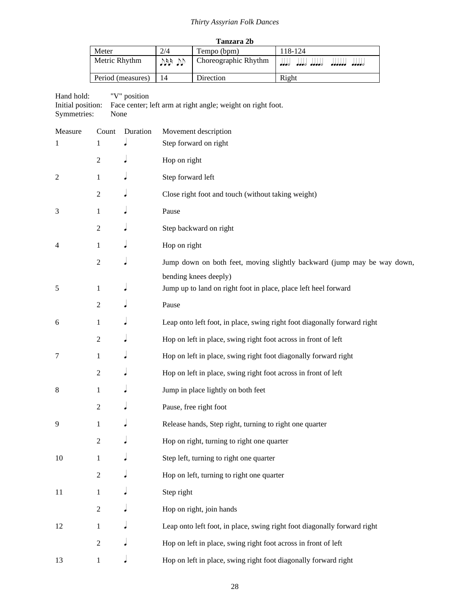| Tanzara 2b        |            |                      |                         |  |
|-------------------|------------|----------------------|-------------------------|--|
| Meter             | 2/4        | Tempo (bpm)          | 118-124                 |  |
| Metric Rhythm     | $789$ $72$ | Choreographic Rhythm | <br>aaad aaaad<br>----- |  |
| Period (measures) |            | Direction            | Right                   |  |

Hand hold: "V" position

Initial position: Face center; left arm at right angle; weight on right foot. Symmetries: None

| Measure        | Count            | Duration | Movement description                                                     |
|----------------|------------------|----------|--------------------------------------------------------------------------|
| 1              | 1                |          | Step forward on right                                                    |
|                | $\overline{c}$   |          | Hop on right                                                             |
| 2              | 1                |          | Step forward left                                                        |
|                | $\overline{c}$   |          | Close right foot and touch (without taking weight)                       |
| 3              | 1                |          | Pause                                                                    |
|                | $\overline{2}$   |          | Step backward on right                                                   |
| $\overline{4}$ | $\mathbf{1}$     |          | Hop on right                                                             |
|                | $\boldsymbol{2}$ |          | Jump down on both feet, moving slightly backward (jump may be way down,  |
|                |                  |          | bending knees deeply)                                                    |
| 5              | 1                |          | Jump up to land on right foot in place, place left heel forward          |
|                | $\overline{2}$   |          | Pause                                                                    |
| 6              | 1                |          | Leap onto left foot, in place, swing right foot diagonally forward right |
|                | $\overline{2}$   |          | Hop on left in place, swing right foot across in front of left           |
| 7              | 1                |          | Hop on left in place, swing right foot diagonally forward right          |
|                | $\overline{c}$   |          | Hop on left in place, swing right foot across in front of left           |
| 8              | 1                |          | Jump in place lightly on both feet                                       |
|                | $\overline{c}$   |          | Pause, free right foot                                                   |
| 9              | 1                |          | Release hands, Step right, turning to right one quarter                  |
|                | $\overline{2}$   |          | Hop on right, turning to right one quarter                               |
| 10             | $\mathbf{1}$     |          | Step left, turning to right one quarter                                  |
|                | 2                |          | Hop on left, turning to right one quarter                                |
| 11             | $\mathbf{1}$     |          | Step right                                                               |
|                | $\overline{2}$   |          | Hop on right, join hands                                                 |
| 12             | $\mathbf{1}$     |          | Leap onto left foot, in place, swing right foot diagonally forward right |
|                | $\overline{c}$   |          | Hop on left in place, swing right foot across in front of left           |
| 13             | $\mathbf{1}$     |          | Hop on left in place, swing right foot diagonally forward right          |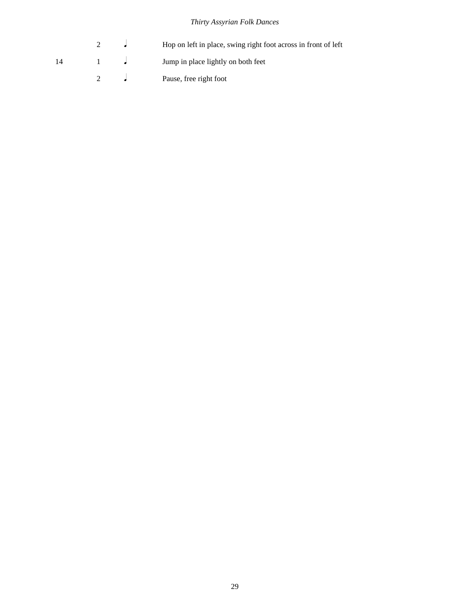|     |  | Hop on left in place, swing right foot across in front of left |
|-----|--|----------------------------------------------------------------|
| -14 |  | Jump in place lightly on both feet                             |
|     |  | Pause, free right foot                                         |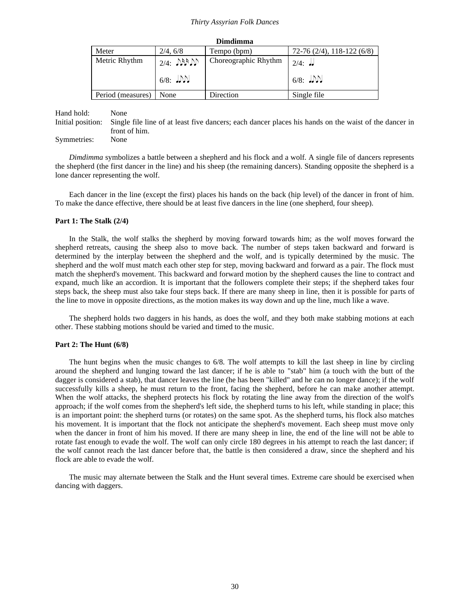| Dimdimma          |                                    |                      |                            |  |
|-------------------|------------------------------------|----------------------|----------------------------|--|
| Meter             | 2/4, 6/8                           | Tempo (bpm)          | $72-76(2/4), 118-122(6/8)$ |  |
| Metric Rhythm     | $2/4$ : $\mathcal{N}(\mathcal{N})$ | Choreographic Rhythm | $2/4$ : $\frac{1}{2}$      |  |
|                   | $6/8$ : $J\mathcal{N}$             |                      | $6/8$ : J.M                |  |
| Period (measures) | None                               | Direction            | Single file                |  |

Hand hold: None Initial position: Single file line of at least five dancers; each dancer places his hands on the waist of the dancer in front of him.

Symmetries: None

*Dimdimma* symbolizes a battle between a shepherd and his flock and a wolf. A single file of dancers represents the shepherd (the first dancer in the line) and his sheep (the remaining dancers). Standing opposite the shepherd is a lone dancer representing the wolf.

Each dancer in the line (except the first) places his hands on the back (hip level) of the dancer in front of him. To make the dance effective, there should be at least five dancers in the line (one shepherd, four sheep).

#### **Part 1: The Stalk (2/4)**

In the Stalk, the wolf stalks the shepherd by moving forward towards him; as the wolf moves forward the shepherd retreats, causing the sheep also to move back. The number of steps taken backward and forward is determined by the interplay between the shepherd and the wolf, and is typically determined by the music. The shepherd and the wolf must match each other step for step, moving backward and forward as a pair. The flock must match the shepherd's movement. This backward and forward motion by the shepherd causes the line to contract and expand, much like an accordion. It is important that the followers complete their steps; if the shepherd takes four steps back, the sheep must also take four steps back. If there are many sheep in line, then it is possible for parts of the line to move in opposite directions, as the motion makes its way down and up the line, much like a wave.

The shepherd holds two daggers in his hands, as does the wolf, and they both make stabbing motions at each other. These stabbing motions should be varied and timed to the music.

#### **Part 2: The Hunt (6/8)**

The hunt begins when the music changes to 6/8. The wolf attempts to kill the last sheep in line by circling around the shepherd and lunging toward the last dancer; if he is able to "stab" him (a touch with the butt of the dagger is considered a stab), that dancer leaves the line (he has been "killed" and he can no longer dance); if the wolf successfully kills a sheep, he must return to the front, facing the shepherd, before he can make another attempt. When the wolf attacks, the shepherd protects his flock by rotating the line away from the direction of the wolf's approach; if the wolf comes from the shepherd's left side, the shepherd turns to his left, while standing in place; this is an important point: the shepherd turns (or rotates) on the same spot. As the shepherd turns, his flock also matches his movement. It is important that the flock not anticipate the shepherd's movement. Each sheep must move only when the dancer in front of him his moved. If there are many sheep in line, the end of the line will not be able to rotate fast enough to evade the wolf. The wolf can only circle 180 degrees in his attempt to reach the last dancer; if the wolf cannot reach the last dancer before that, the battle is then considered a draw, since the shepherd and his flock are able to evade the wolf.

The music may alternate between the Stalk and the Hunt several times. Extreme care should be exercised when dancing with daggers.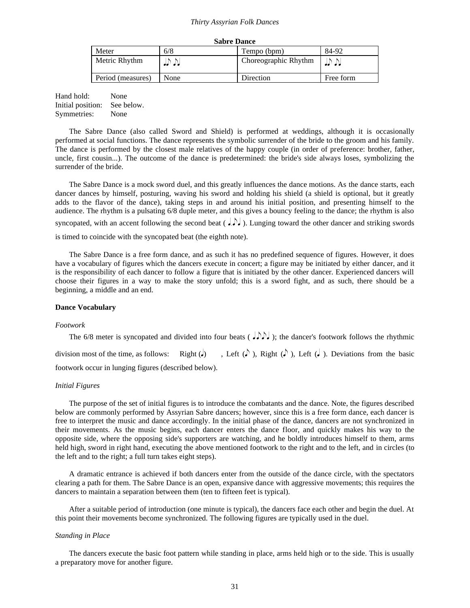| <b>Sabre Dance</b> |           |                      |           |  |  |
|--------------------|-----------|----------------------|-----------|--|--|
| Meter              | 6/8       | Tempo (bpm)          | 84-92     |  |  |
| Metric Rhythm      | ی ہے ۔ اس | Choreographic Rhythm | .         |  |  |
| Period (measures)  | None      | Direction            | Free form |  |  |

Hand hold: None Initial position: See below. Symmetries: None

The Sabre Dance (also called Sword and Shield) is performed at weddings, although it is occasionally performed at social functions. The dance represents the symbolic surrender of the bride to the groom and his family. The dance is performed by the closest male relatives of the happy couple (in order of preference: brother, father, uncle, first cousin...). The outcome of the dance is predetermined: the bride's side always loses, symbolizing the surrender of the bride.

The Sabre Dance is a mock sword duel, and this greatly influences the dance motions. As the dance starts, each dancer dances by himself, posturing, waving his sword and holding his shield (a shield is optional, but it greatly adds to the flavor of the dance), taking steps in and around his initial position, and presenting himself to the audience. The rhythm is a pulsating 6/8 duple meter, and this gives a bouncy feeling to the dance; the rhythm is also syncopated, with an accent following the second beat (  $J$ .). Lunging toward the other dancer and striking swords is timed to coincide with the syncopated beat (the eighth note).

The Sabre Dance is a free form dance, and as such it has no predefined sequence of figures. However, it does have a vocabulary of figures which the dancers execute in concert; a figure may be initiated by either dancer, and it is the responsibility of each dancer to follow a figure that is initiated by the other dancer. Experienced dancers will choose their figures in a way to make the story unfold; this is a sword fight, and as such, there should be a beginning, a middle and an end.

#### **Dance Vocabulary**

#### *Footwork*

The 6/8 meter is syncopated and divided into four beats ( $\langle \cdot \rangle$ ), the dancer's footwork follows the rhythmic division most of the time, as follows: Right  $(\cdot)$ , Left  $(\cdot)$ , Right  $(\cdot)$ , Left  $(\cdot)$ . Deviations from the basic footwork occur in lunging figures (described below).

#### *Initial Figures*

The purpose of the set of initial figures is to introduce the combatants and the dance. Note, the figures described below are commonly performed by Assyrian Sabre dancers; however, since this is a free form dance, each dancer is free to interpret the music and dance accordingly. In the initial phase of the dance, dancers are not synchronized in their movements. As the music begins, each dancer enters the dance floor, and quickly makes his way to the opposite side, where the opposing side's supporters are watching, and he boldly introduces himself to them, arms held high, sword in right hand, executing the above mentioned footwork to the right and to the left, and in circles (to the left and to the right; a full turn takes eight steps).

A dramatic entrance is achieved if both dancers enter from the outside of the dance circle, with the spectators clearing a path for them. The Sabre Dance is an open, expansive dance with aggressive movements; this requires the dancers to maintain a separation between them (ten to fifteen feet is typical).

After a suitable period of introduction (one minute is typical), the dancers face each other and begin the duel. At this point their movements become synchronized. The following figures are typically used in the duel.

#### *Standing in Place*

The dancers execute the basic foot pattern while standing in place, arms held high or to the side. This is usually a preparatory move for another figure.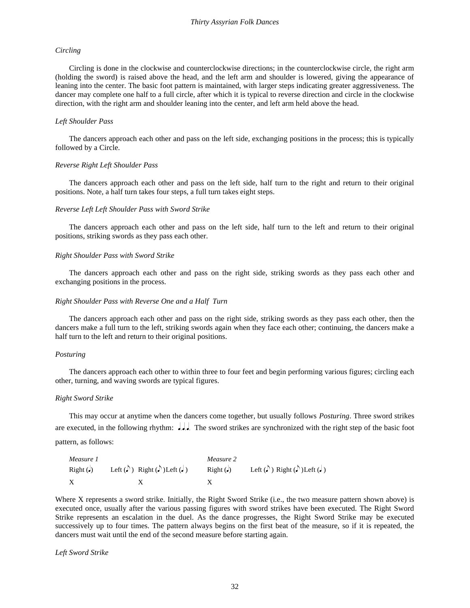#### *Circling*

Circling is done in the clockwise and counterclockwise directions; in the counterclockwise circle, the right arm (holding the sword) is raised above the head, and the left arm and shoulder is lowered, giving the appearance of leaning into the center. The basic foot pattern is maintained, with larger steps indicating greater aggressiveness. The dancer may complete one half to a full circle, after which it is typical to reverse direction and circle in the clockwise direction, with the right arm and shoulder leaning into the center, and left arm held above the head.

#### *Left Shoulder Pass*

The dancers approach each other and pass on the left side, exchanging positions in the process; this is typically followed by a Circle.

#### *Reverse Right Left Shoulder Pass*

The dancers approach each other and pass on the left side, half turn to the right and return to their original positions. Note, a half turn takes four steps, a full turn takes eight steps.

#### *Reverse Left Left Shoulder Pass with Sword Strike*

The dancers approach each other and pass on the left side, half turn to the left and return to their original positions, striking swords as they pass each other.

#### *Right Shoulder Pass with Sword Strike*

The dancers approach each other and pass on the right side, striking swords as they pass each other and exchanging positions in the process.

#### *Right Shoulder Pass with Reverse One and a Half Turn*

The dancers approach each other and pass on the right side, striking swords as they pass each other, then the dancers make a full turn to the left, striking swords again when they face each other; continuing, the dancers make a half turn to the left and return to their original positions.

#### *Posturing*

The dancers approach each other to within three to four feet and begin performing various figures; circling each other, turning, and waving swords are typical figures.

#### *Right Sword Strike*

This may occur at anytime when the dancers come together, but usually follows *Posturing*. Three sword strikes are executed, in the following rhythm:  $T_{\text{max}}$ . The sword strikes are synchronized with the right step of the basic foot pattern, as follows:

*Measure 1 Measure 2* Right ( $\downarrow$ ) Left ( $\downarrow$ ) Right ( $\downarrow$ ) Left ( $\downarrow$ ) Left ( $\downarrow$ ) Left ( $\downarrow$ ) Left ( $\downarrow$ ) Left ( $\downarrow$ )  $X$  X X

Where X represents a sword strike. Initially, the Right Sword Strike (i.e., the two measure pattern shown above) is executed once, usually after the various passing figures with sword strikes have been executed. The Right Sword Strike represents an escalation in the duel. As the dance progresses, the Right Sword Strike may be executed successively up to four times. The pattern always begins on the first beat of the measure, so if it is repeated, the dancers must wait until the end of the second measure before starting again.

*Left Sword Strike*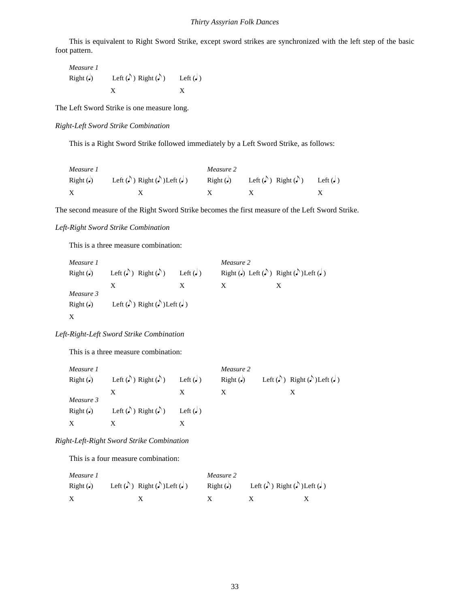This is equivalent to Right Sword Strike, except sword strikes are synchronized with the left step of the basic foot pattern.

*Measure 1* Right ( $\downarrow$ ) Left ( $\uparrow$ ) Right ( $\uparrow$ ) Left ( $\downarrow$ )  $X$   $X$ 

The Left Sword Strike is one measure long.

*Right-Left Sword Strike Combination*

This is a Right Sword Strike followed immediately by a Left Sword Strike, as follows:

| Measure 1      |                                               | Measure 2      |                                          |                                         |
|----------------|-----------------------------------------------|----------------|------------------------------------------|-----------------------------------------|
| $Right(\cdot)$ | Left $(\cdot)$ Right $(\cdot)$ Left $(\cdot)$ | $Right(\cdot)$ | Left ( $\bigcirc$ ) Right ( $\bigcirc$ ) | Left $\left(\frac{\ }{\epsilon}\right)$ |
|                |                                               |                |                                          |                                         |

The second measure of the Right Sword Strike becomes the first measure of the Left Sword Strike.

#### *Left-Right Sword Strike Combination*

This is a three measure combination:

| Measure 1             |                                                  |                      | Measure 2 |                                       |
|-----------------------|--------------------------------------------------|----------------------|-----------|---------------------------------------|
| $Right(\cdot)$        | Left ( $\bigcirc$ ) Right ( $\bigcirc$ )         | Left $\left(\right)$ |           | Right (.) Left (.) Right (.) Left (.) |
|                       |                                                  |                      |           |                                       |
| Measure 3<br>Right(J) | Left ( $\Box$ ) Right ( $\Box$ ) Left ( $\Box$ ) |                      |           |                                       |
|                       |                                                  |                      |           |                                       |
| X                     |                                                  |                      |           |                                       |

#### *Left-Right-Left Sword Strike Combination*

This is a three measure combination:

| Measure 1             |                                          |                      | Measure 2 |                                                           |
|-----------------------|------------------------------------------|----------------------|-----------|-----------------------------------------------------------|
| Right(J)              | Left $(\delta)$ Right $(\delta)$         | Left $(\bullet)$     | Right(J)  | Left ( $\bullet$ ) Right ( $\bullet$ ) Left ( $\bullet$ ) |
|                       |                                          |                      |           |                                                           |
| Measure 3<br>Right(J) | Left ( $\bigcirc$ ) Right ( $\bigcirc$ ) | Left $\left(\right)$ |           |                                                           |
| X                     |                                          |                      |           |                                                           |

#### *Right-Left-Right Sword Strike Combination*

This is a four measure combination:

| Measure 1      |  |                                                              | Measure 2      |                                                                    |  |
|----------------|--|--------------------------------------------------------------|----------------|--------------------------------------------------------------------|--|
| $Right(\cdot)$ |  | Left ( $\bigcirc$ ) Right ( $\bigcirc$ ) Left ( $\bigcirc$ ) | $Right(\cdot)$ | Left ( $\downarrow$ ) Right ( $\downarrow$ ) Left ( $\downarrow$ ) |  |
|                |  |                                                              |                |                                                                    |  |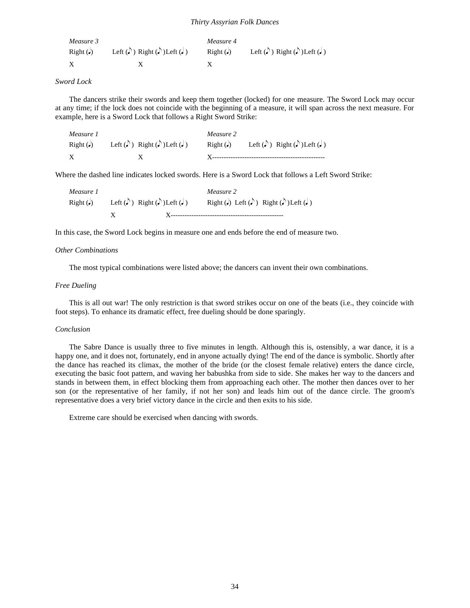| Measure 3      |                                                                    | Measure 4 |                                                  |
|----------------|--------------------------------------------------------------------|-----------|--------------------------------------------------|
| $Right(\cdot)$ | Left ( $\downarrow$ ) Right ( $\downarrow$ ) Left ( $\downarrow$ ) | Right(J)  | Left ( $\Box$ ) Right ( $\Box$ ) Left ( $\Box$ ) |
|                |                                                                    |           |                                                  |

#### *Sword Lock*

The dancers strike their swords and keep them together (locked) for one measure. The Sword Lock may occur at any time; if the lock does not coincide with the beginning of a measure, it will span across the next measure. For example, here is a Sword Lock that follows a Right Sword Strike:

| Measure 1      |                                                  | Measure 2      |                                                  |
|----------------|--------------------------------------------------|----------------|--------------------------------------------------|
| $Right(\cdot)$ | Left ( $\Box$ ) Right ( $\Box$ ) Left ( $\Box$ ) | $Right(\cdot)$ | Left ( $\Box$ ) Right ( $\Box$ ) Left ( $\Box$ ) |
|                |                                                  |                |                                                  |

Where the dashed line indicates locked swords. Here is a Sword Lock that follows a Left Sword Strike:

| Measure 1      |                                                  | Measure 2                             |
|----------------|--------------------------------------------------|---------------------------------------|
| $Right(\cdot)$ | Left ( $\Box$ ) Right ( $\Box$ ) Left ( $\Box$ ) | Right (a) Left (b) Right (b) Left (c) |
|                |                                                  |                                       |

In this case, the Sword Lock begins in measure one and ends before the end of measure two.

#### *Other Combinations*

The most typical combinations were listed above; the dancers can invent their own combinations.

#### *Free Dueling*

This is all out war! The only restriction is that sword strikes occur on one of the beats (i.e., they coincide with foot steps). To enhance its dramatic effect, free dueling should be done sparingly.

#### *Conclusion*

The Sabre Dance is usually three to five minutes in length. Although this is, ostensibly, a war dance, it is a happy one, and it does not, fortunately, end in anyone actually dying! The end of the dance is symbolic. Shortly after the dance has reached its climax, the mother of the bride (or the closest female relative) enters the dance circle, executing the basic foot pattern, and waving her babushka from side to side. She makes her way to the dancers and stands in between them, in effect blocking them from approaching each other. The mother then dances over to her son (or the representative of her family, if not her son) and leads him out of the dance circle. The groom's representative does a very brief victory dance in the circle and then exits to his side.

Extreme care should be exercised when dancing with swords.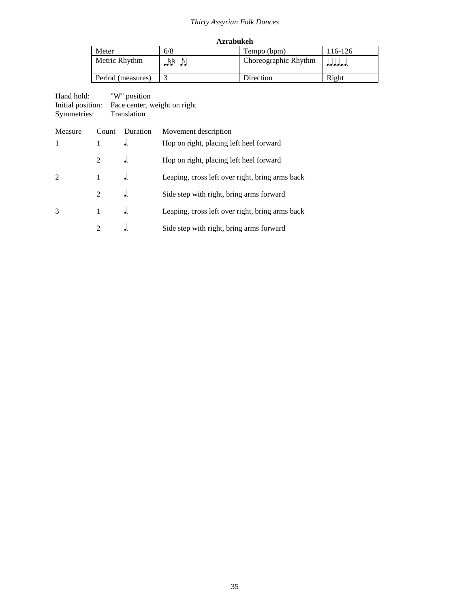| <b>Azrabukeh</b>                 |     |                      |         |
|----------------------------------|-----|----------------------|---------|
| Meter                            | 6/8 | Tempo (bpm)          | 116-126 |
| Metric Rhythm<br>R B<br>ا ما ماه |     | Choreographic Rhythm |         |
| Period (measures)                |     | Direction            | Right   |

| Hand hold:        | "W" position                 |
|-------------------|------------------------------|
| Initial position: | Face center, weight on right |
| Symmetries:       | Translation                  |

| Measure        | Count         | Duration | Movement description                            |
|----------------|---------------|----------|-------------------------------------------------|
| $\mathbf{1}$   |               |          | Hop on right, placing left heel forward         |
|                |               |          | Hop on right, placing left heel forward         |
| $\mathfrak{D}$ |               |          | Leaping, cross left over right, bring arms back |
|                | $\mathcal{L}$ |          | Side step with right, bring arms forward        |
| 3              |               |          | Leaping, cross left over right, bring arms back |
|                |               |          | Side step with right, bring arms forward        |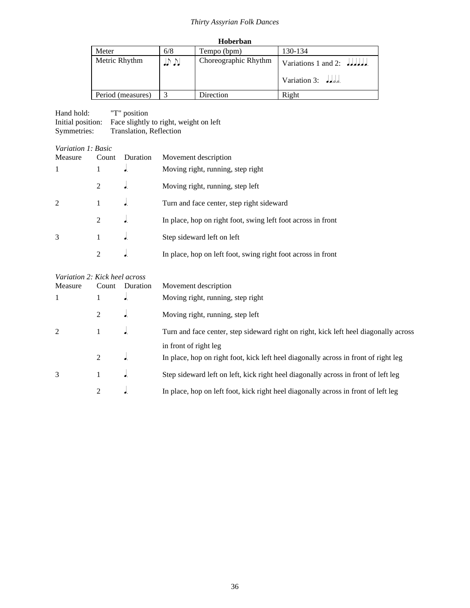| Hoberban |
|----------|
|          |

| Meter             | 6/8 | Tempo (bpm)          | 130-134                       |
|-------------------|-----|----------------------|-------------------------------|
| Metric Rhythm     | いい  | Choreographic Rhythm | Variations 1 and 2: $JJJJJ$ . |
|                   |     |                      | Variation 3: $J_{\alpha}$ ,   |
| Period (measures) |     | Direction            | Right                         |

| Hand hold:        | "T" position                           |
|-------------------|----------------------------------------|
| Initial position: | Face slightly to right, weight on left |
| Symmetries:       | Translation, Reflection                |

#### *Variation 1: Basic*

| Measure       | Count                       | Duration | Movement description                                         |
|---------------|-----------------------------|----------|--------------------------------------------------------------|
| 1             |                             | ۰.       | Moving right, running, step right                            |
|               | $2^{\circ}$                 | ۰.       | Moving right, running, step left                             |
| $\mathcal{D}$ |                             |          | Turn and face center, step right sideward                    |
|               | 2                           | ۰.       | In place, hop on right foot, swing left foot across in front |
| 3             |                             |          | Step sideward left on left                                   |
|               | $\mathcal{D}_{\mathcal{L}}$ |          | In place, hop on left foot, swing right foot across in front |

| Variation 2: Kick heel across |                |          |                                                                                      |
|-------------------------------|----------------|----------|--------------------------------------------------------------------------------------|
| Measure                       | Count          | Duration | Movement description                                                                 |
|                               |                |          | Moving right, running, step right                                                    |
|                               | 2              | ٠.       | Moving right, running, step left                                                     |
| 2                             |                |          | Turn and face center, step sideward right on right, kick left heel diagonally across |
|                               |                |          | in front of right leg                                                                |
|                               | 2              |          | In place, hop on right foot, kick left heel diagonally across in front of right leg  |
| 3                             |                |          | Step sideward left on left, kick right heel diagonally across in front of left leg   |
|                               | $\mathfrak{D}$ |          | In place, hop on left foot, kick right heel diagonally across in front of left leg   |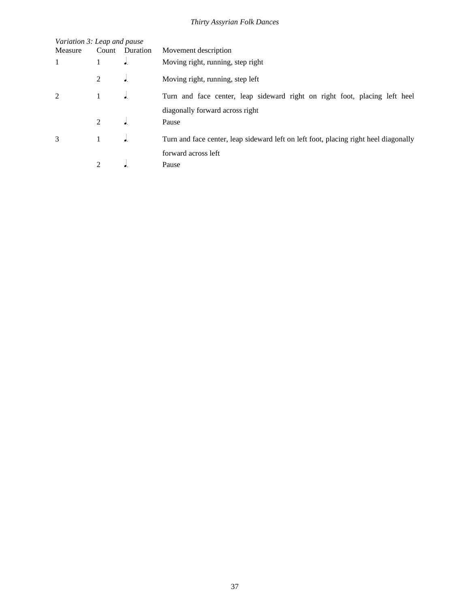| Variation 3: Leap and pause |                |                |                                                                                      |
|-----------------------------|----------------|----------------|--------------------------------------------------------------------------------------|
| Measure                     |                | Count Duration | Movement description                                                                 |
| 1                           |                | ٠.             | Moving right, running, step right                                                    |
|                             | 2              | $\bullet$      | Moving right, running, step left                                                     |
| $\mathfrak{D}$              |                |                | Turn and face center, leap sideward right on right foot, placing left heel           |
|                             |                |                | diagonally forward across right                                                      |
|                             | $\mathfrak{D}$ |                | Pause                                                                                |
| 3                           | 1              |                | Turn and face center, leap sideward left on left foot, placing right heel diagonally |
|                             |                |                | forward across left                                                                  |
|                             | $\mathfrak{D}$ |                | Pause                                                                                |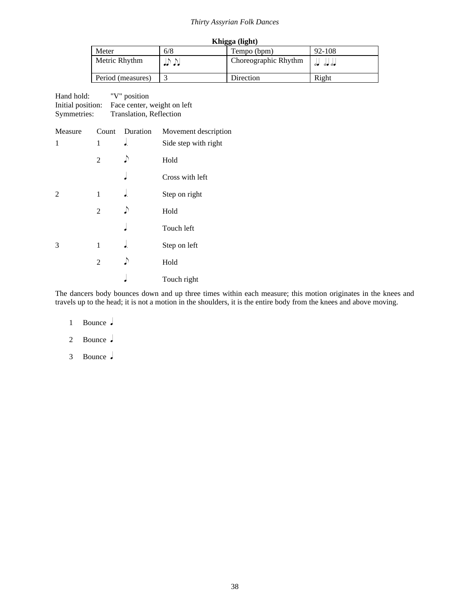| Khigga (light)    |       |                      |              |
|-------------------|-------|----------------------|--------------|
| Meter             | 6/8   | Tempo (bpm)          | 92-108       |
| Metric Rhythm     | נת תנ | Choreographic Rhythm | <b>00 00</b> |
| Period (measures) |       | Direction            | Right        |

| Hand hold:        | "V" position                |
|-------------------|-----------------------------|
| Initial position: | Face center, weight on left |
| Symmetries:       | Translation, Reflection     |

| Measure |                | Count Duration | Movement description |
|---------|----------------|----------------|----------------------|
| 1       | 1              |                | Side step with right |
|         | $\overline{c}$ |                | Hold                 |
|         |                |                | Cross with left      |
| 2       | 1              |                | Step on right        |
|         | 2              |                | Hold                 |
|         |                |                | Touch left           |
| 3       | 1              |                | Step on left         |
|         | $\overline{2}$ |                | Hold                 |
|         |                |                | Touch right          |
|         |                |                |                      |

The dancers body bounces down and up three times within each measure; this motion originates in the knees and travels up to the head; it is not a motion in the shoulders, it is the entire body from the knees and above moving.

1 Bounce.

2 Bounce.

3 Bounce.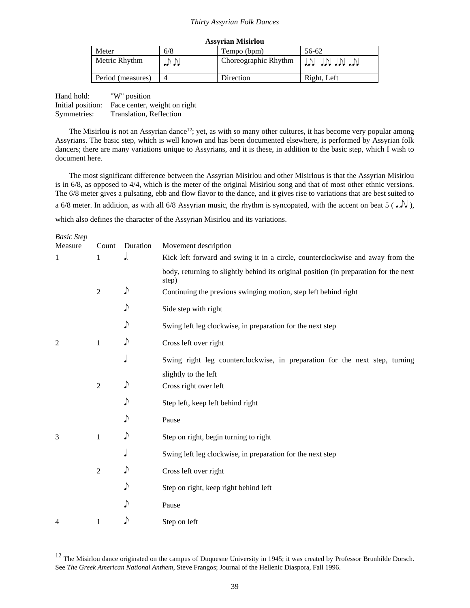| Assyrian Misirlou |  |
|-------------------|--|
|                   |  |

| Meter             | 6/8        | Tempo (bpm)          | 56-62           |
|-------------------|------------|----------------------|-----------------|
| Metric Rhythm     | الألوالولو | Choreographic Rhythm | ומן מין מין מין |
| Period (measures) |            | Direction            | Right, Left     |

| Hand hold:        | "W" position                 |
|-------------------|------------------------------|
| Initial position: | Face center, weight on right |
| Symmetries:       | Translation, Reflection      |

The Misirlou is not an Assyrian dance<sup>12</sup>; yet, as with so many other cultures, it has become very popular among Assyrians. The basic step, which is well known and has been documented elsewhere, is performed by Assyrian folk dancers; there are many variations unique to Assyrians, and it is these, in addition to the basic step, which I wish to document here.

The most significant difference between the Assyrian Misirlou and other Misirlous is that the Assyrian Misirlou is in 6/8, as opposed to 4/4, which is the meter of the original Misirlou song and that of most other ethnic versions. The 6/8 meter gives a pulsating, ebb and flow flavor to the dance, and it gives rise to variations that are best suited to a 6/8 meter. In addition, as with all 6/8 Assyrian music, the rhythm is syncopated, with the accent on beat 5 ( $J$ ,), which also defines the character of the Assyrian Misirlou and its variations.

| <b>Basic Step</b> |                |            |                                                                                                |
|-------------------|----------------|------------|------------------------------------------------------------------------------------------------|
| Measure           | Count          | Duration   | Movement description                                                                           |
| 1                 | 1              |            | Kick left forward and swing it in a circle, counterclockwise and away from the                 |
|                   |                |            | body, returning to slightly behind its original position (in preparation for the next<br>step) |
|                   | $\overline{2}$ | ♪          | Continuing the previous swinging motion, step left behind right                                |
|                   |                |            | Side step with right                                                                           |
|                   |                |            | Swing left leg clockwise, in preparation for the next step                                     |
| 2                 | 1              | ♪          | Cross left over right                                                                          |
|                   |                |            | Swing right leg counterclockwise, in preparation for the next step, turning                    |
|                   |                |            | slightly to the left                                                                           |
|                   | $\overline{2}$ | ♪          | Cross right over left                                                                          |
|                   |                |            | Step left, keep left behind right                                                              |
|                   |                |            | Pause                                                                                          |
| 3                 | $\mathbf{1}$   | $\sqrt{ }$ | Step on right, begin turning to right                                                          |
|                   |                |            | Swing left leg clockwise, in preparation for the next step                                     |
|                   | $\overline{2}$ |            | Cross left over right                                                                          |
|                   |                | ♪          | Step on right, keep right behind left                                                          |
|                   |                |            | Pause                                                                                          |
| 4                 | 1              |            | Step on left                                                                                   |

<sup>&</sup>lt;sup>12</sup> The Misirlou dance originated on the campus of Duquesne University in 1945; it was created by Professor Brunhilde Dorsch. See *The Greek American National Anthem*, Steve Frangos; Journal of the Hellenic Diaspora, Fall 1996.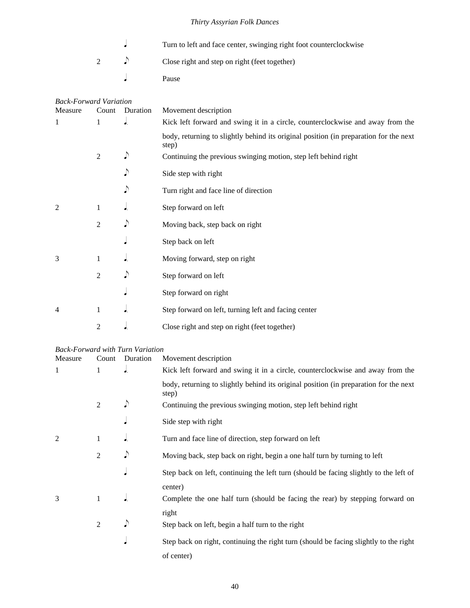|                | Turn to left and face center, swinging right foot counterclockwise |
|----------------|--------------------------------------------------------------------|
| $\overline{2}$ | Close right and step on right (feet together)                      |
|                | Pause                                                              |

|                                               | <b>Back-Forward Variation</b> |                                                                                |                                                                                                |  |  |
|-----------------------------------------------|-------------------------------|--------------------------------------------------------------------------------|------------------------------------------------------------------------------------------------|--|--|
| Measure                                       | Count                         | Duration                                                                       | Movement description                                                                           |  |  |
| $\mathbf{1}$<br>1<br>$\overline{\phantom{a}}$ |                               | Kick left forward and swing it in a circle, counterclockwise and away from the |                                                                                                |  |  |
|                                               |                               |                                                                                | body, returning to slightly behind its original position (in preparation for the next<br>step) |  |  |
|                                               | $\overline{2}$                | $\sqrt{ }$                                                                     | Continuing the previous swinging motion, step left behind right                                |  |  |
|                                               |                               | $\sqrt{ }$                                                                     | Side step with right                                                                           |  |  |
|                                               |                               | $\sqrt{ }$                                                                     | Turn right and face line of direction                                                          |  |  |
| 2                                             | $\mathbf{1}$                  |                                                                                | Step forward on left                                                                           |  |  |
|                                               | $\overline{2}$                | $\sqrt{ }$                                                                     | Moving back, step back on right                                                                |  |  |
|                                               |                               |                                                                                | Step back on left                                                                              |  |  |
| 3                                             | $\mathbf{1}$                  | d.                                                                             | Moving forward, step on right                                                                  |  |  |
|                                               | $\overline{2}$                | $\sqrt{ }$                                                                     | Step forward on left                                                                           |  |  |
|                                               |                               |                                                                                | Step forward on right                                                                          |  |  |
| 4                                             | $\mathbf{1}$                  | d.                                                                             | Step forward on left, turning left and facing center                                           |  |  |
|                                               | $\overline{2}$                | ٠.                                                                             | Close right and step on right (feet together)                                                  |  |  |

#### *Back-Forward with Turn Variation*

| Measure | Count          | Duration | Movement description                                                                           |
|---------|----------------|----------|------------------------------------------------------------------------------------------------|
| 1       | $\mathbf{1}$   | J.       | Kick left forward and swing it in a circle, counterclockwise and away from the                 |
|         |                |          | body, returning to slightly behind its original position (in preparation for the next<br>step) |
|         | $\mathfrak{D}$ | ♪        | Continuing the previous swinging motion, step left behind right                                |
|         |                |          | Side step with right                                                                           |
|         | 1              | J.       | Turn and face line of direction, step forward on left                                          |
|         | $\overline{2}$ | ♪        | Moving back, step back on right, begin a one half turn by turning to left                      |
|         |                |          | Step back on left, continuing the left turn (should be facing slightly to the left of          |
|         |                |          | center)                                                                                        |
| 3       | 1              |          | Complete the one half turn (should be facing the rear) by stepping forward on                  |
|         |                |          | right                                                                                          |
|         | 2              | ♪        | Step back on left, begin a half turn to the right                                              |
|         |                |          | Step back on right, continuing the right turn (should be facing slightly to the right          |
|         |                |          | of center)                                                                                     |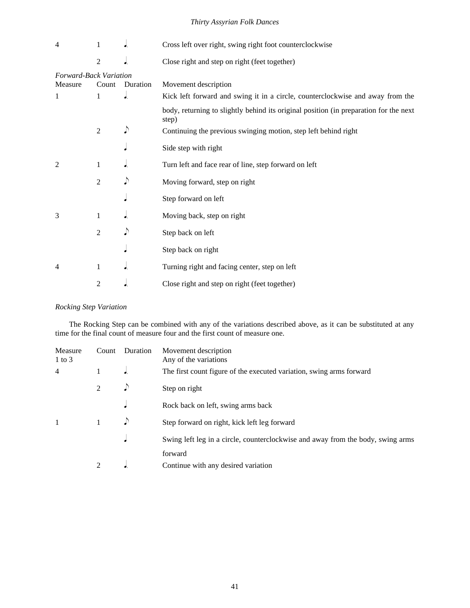| 4                             | 1              | J.          | Cross left over right, swing right foot counterclockwise                                       |  |
|-------------------------------|----------------|-------------|------------------------------------------------------------------------------------------------|--|
|                               | $\overline{2}$ | $\bullet$ . | Close right and step on right (feet together)                                                  |  |
| <b>Forward-Back Variation</b> |                |             |                                                                                                |  |
| Measure                       | Count          | Duration    | Movement description                                                                           |  |
| 1                             | $\mathbf{1}$   | $\bullet$ . | Kick left forward and swing it in a circle, counterclockwise and away from the                 |  |
|                               |                |             | body, returning to slightly behind its original position (in preparation for the next<br>step) |  |
|                               | $\overline{2}$ | $\sqrt{ }$  | Continuing the previous swinging motion, step left behind right                                |  |
|                               |                |             | Side step with right                                                                           |  |
| 2                             | 1              |             | Turn left and face rear of line, step forward on left                                          |  |
|                               | $\overline{2}$ | $\sqrt{ }$  | Moving forward, step on right                                                                  |  |
|                               |                |             | Step forward on left                                                                           |  |
| 3                             | 1              | $\bullet$ . | Moving back, step on right                                                                     |  |
|                               | $\overline{2}$ | $\sqrt{ }$  | Step back on left                                                                              |  |
|                               |                |             | Step back on right                                                                             |  |
| 4                             | 1              | J.          | Turning right and facing center, step on left                                                  |  |
|                               | $\overline{2}$ |             | Close right and step on right (feet together)                                                  |  |

*Rocking Step Variation*

The Rocking Step can be combined with any of the variations described above, as it can be substituted at any time for the final count of measure four and the first count of measure one.

| Measure<br>$1$ to $3$ | Count          | Duration | Movement description<br>Any of the variations                                   |
|-----------------------|----------------|----------|---------------------------------------------------------------------------------|
| 4                     |                |          | The first count figure of the executed variation, swing arms forward            |
|                       | $\mathfrak{D}$ |          | Step on right                                                                   |
|                       |                |          | Rock back on left, swing arms back                                              |
| $\mathbf{1}$          |                |          | Step forward on right, kick left leg forward                                    |
|                       |                |          | Swing left leg in a circle, counterclockwise and away from the body, swing arms |
|                       |                |          | forward                                                                         |
|                       |                |          | Continue with any desired variation                                             |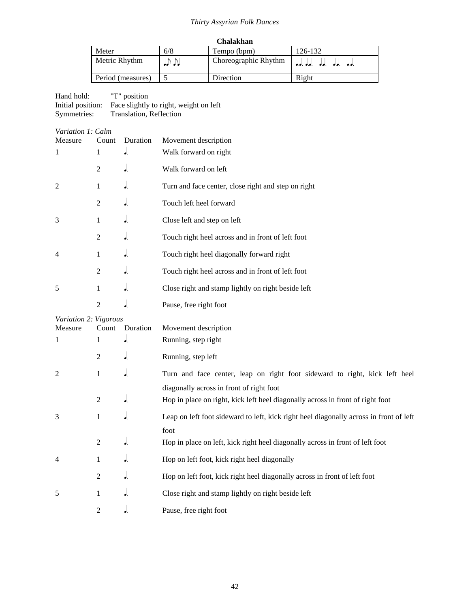| <b>Chalakhan</b> |
|------------------|
|------------------|

| Meter             | 6/8 | Tempo (bpm)          | 126-132                           |  |
|-------------------|-----|----------------------|-----------------------------------|--|
| Metric Rhythm     |     | Choreographic Rhythm | الحامل المام المام المام المام ال |  |
| Period (measures) |     | Direction            | Right                             |  |

| Hand hold:        | "T" position                           |
|-------------------|----------------------------------------|
| Initial position: | Face slightly to right, weight on left |
| Symmetries:       | Translation, Reflection                |

| Variation 1: Calm |  |  |
|-------------------|--|--|
|                   |  |  |

| Measure               | Count          | Duration | Movement description                                                                   |
|-----------------------|----------------|----------|----------------------------------------------------------------------------------------|
| $\mathbf{1}$          | $\mathbf{1}$   | J.       | Walk forward on right                                                                  |
|                       | $\overline{2}$ |          | Walk forward on left                                                                   |
| 2                     | 1              |          | Turn and face center, close right and step on right                                    |
|                       | $\overline{2}$ | J.       | Touch left heel forward                                                                |
| 3                     | $\mathbf{1}$   | J.       | Close left and step on left                                                            |
|                       | $\overline{2}$ |          | Touch right heel across and in front of left foot                                      |
| 4                     | 1              |          | Touch right heel diagonally forward right                                              |
|                       | $\overline{2}$ | ۰.       | Touch right heel across and in front of left foot                                      |
| 5                     | 1              | J.       | Close right and stamp lightly on right beside left                                     |
|                       | $\overline{2}$ |          | Pause, free right foot                                                                 |
| Variation 2: Vigorous |                |          |                                                                                        |
| Measure               | Count          | Duration | Movement description                                                                   |
| 1                     | 1              | J.       | Running, step right                                                                    |
|                       | $\overline{2}$ | J.       | Running, step left                                                                     |
| 2                     | $\mathbf{1}$   |          | Turn and face center, leap on right foot sideward to right, kick left heel             |
|                       |                |          | diagonally across in front of right foot                                               |
|                       | $\overline{2}$ | ۰.       | Hop in place on right, kick left heel diagonally across in front of right foot         |
| 3                     | 1              |          | Leap on left foot sideward to left, kick right heel diagonally across in front of left |
|                       |                |          | foot                                                                                   |
|                       | $\overline{c}$ | J.       | Hop in place on left, kick right heel diagonally across in front of left foot          |
| 4                     | $\mathbf{1}$   | J.       | Hop on left foot, kick right heel diagonally                                           |
|                       | $\overline{2}$ | J.       | Hop on left foot, kick right heel diagonally across in front of left foot              |
| 5                     | $\mathbf{1}$   | J.       | Close right and stamp lightly on right beside left                                     |
|                       | $\overline{2}$ | J.       | Pause, free right foot                                                                 |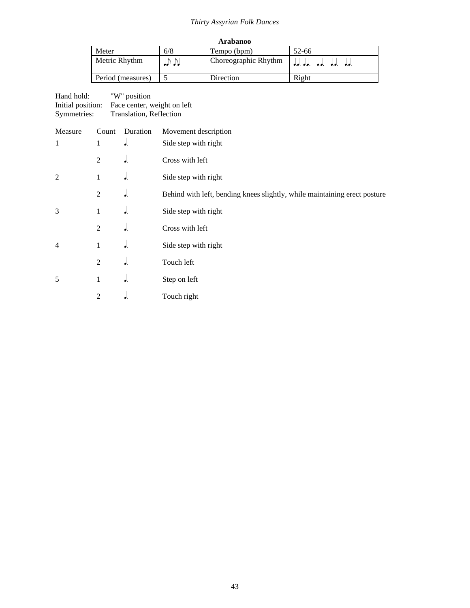| <b>Arabanoo</b>   |            |                      |                                 |
|-------------------|------------|----------------------|---------------------------------|
| Meter             | 6/8        | Tempo (bpm)          | 52-66                           |
| Metric Rhythm     | الألوالولو | Choreographic Rhythm | الجام الجام الجام الجام الجام ا |
| Period (measures) |            | Direction            | Right                           |

| Hand hold:        | "W" position                |
|-------------------|-----------------------------|
| Initial position: | Face center, weight on left |
| Symmetries:       | Translation, Reflection     |

| Measure        | Count          | Duration               | Movement description                                                      |
|----------------|----------------|------------------------|---------------------------------------------------------------------------|
| $\mathbf{1}$   | 1              | $\overline{\bullet}$ . | Side step with right                                                      |
|                | 2              | J.                     | Cross with left                                                           |
| $\overline{2}$ | 1              | ٠.                     | Side step with right                                                      |
|                | $\mathfrak{2}$ | J.                     | Behind with left, bending knees slightly, while maintaining erect posture |
| 3              | 1              | J.                     | Side step with right                                                      |
|                | 2              | J.                     | Cross with left                                                           |
| $\overline{4}$ | 1              | J.                     | Side step with right                                                      |
|                | $\overline{2}$ | J.                     | Touch left                                                                |
| 5              | $\mathbf{1}$   | J.                     | Step on left                                                              |
|                | 2              | d.                     | Touch right                                                               |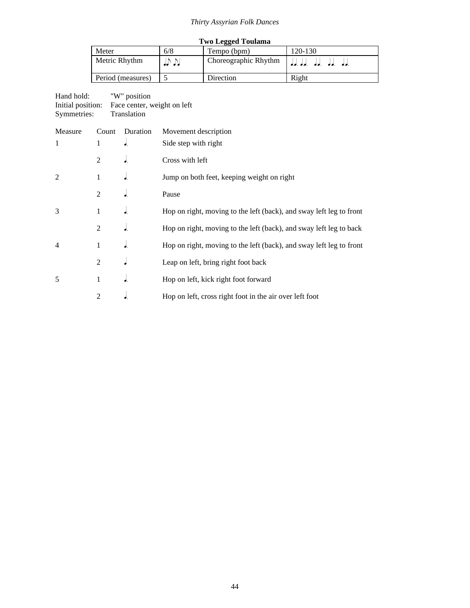| <b>Two Legged Toulama</b> |     |                      |                                  |
|---------------------------|-----|----------------------|----------------------------------|
| Meter                     | 6/8 | Tempo (bpm)          | 120-130                          |
| Metric Rhythm             | .   | Choreographic Rhythm | الجام الجام الجام الجام الجام ال |
| Period (measures)         |     | Direction            | Right                            |

# Hand hold: "W" position

Initial position: Face center, weight on left Symmetries: Translation

| Measure       | Count          | Duration | Movement description                                                |
|---------------|----------------|----------|---------------------------------------------------------------------|
| $\mathbf{1}$  | 1              | J.       | Side step with right                                                |
|               | 2              | J.       | Cross with left                                                     |
| $\mathcal{L}$ | 1              | ◢        | Jump on both feet, keeping weight on right                          |
|               | 2              | ◢        | Pause                                                               |
| 3             | 1              |          | Hop on right, moving to the left (back), and sway left leg to front |
|               | $\overline{2}$ | J.       | Hop on right, moving to the left (back), and sway left leg to back  |
| 4             | 1              | J.       | Hop on right, moving to the left (back), and sway left leg to front |
|               | $\overline{2}$ |          | Leap on left, bring right foot back                                 |
| 5             | 1              | J.       | Hop on left, kick right foot forward                                |
|               | $\overline{2}$ |          | Hop on left, cross right foot in the air over left foot             |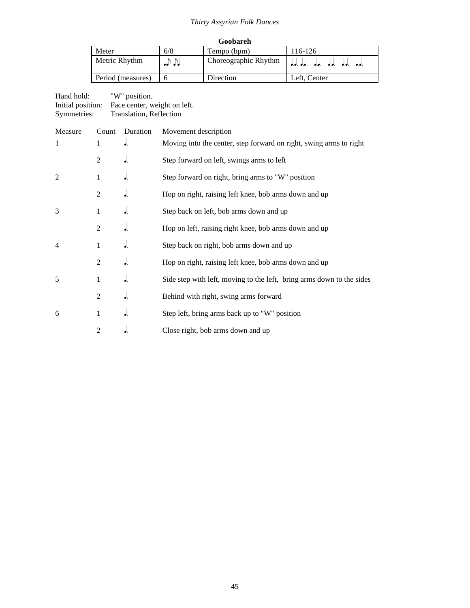| Goobareh          |     |                      |                                           |
|-------------------|-----|----------------------|-------------------------------------------|
| Meter             | 6/8 | Tempo (bpm)          | 116-126                                   |
| Metric Rhythm     | .   | Choreographic Rhythm | الجامل الجامل الجامل الجامل الجامل الجامل |
| Period (measures) |     | Direction            | Left. Center                              |

## Hand hold: "W" position. Initial position: Face center, weight on left. Symmetries: Translation, Reflection

| Measure        | Count          | Duration                 | Movement description                                                  |
|----------------|----------------|--------------------------|-----------------------------------------------------------------------|
| $\mathbf{1}$   | $\mathbf{1}$   | $\overline{\bullet}$ .   | Moving into the center, step forward on right, swing arms to right    |
|                | 2              | $\bullet$ .              | Step forward on left, swings arms to left                             |
| 2              | 1              | $\overline{\phantom{a}}$ | Step forward on right, bring arms to "W" position                     |
|                | $\overline{2}$ | $\overline{\bullet}$ .   | Hop on right, raising left knee, bob arms down and up                 |
| 3              | 1              | $\overline{\phantom{a}}$ | Step back on left, bob arms down and up                               |
|                | $\overline{2}$ | $\overline{\bullet}$ .   | Hop on left, raising right knee, bob arms down and up                 |
| $\overline{4}$ | 1              | $\overline{\phantom{a}}$ | Step back on right, bob arms down and up                              |
|                | $\overline{2}$ | $\overline{\bullet}$ .   | Hop on right, raising left knee, bob arms down and up                 |
| 5              | $\mathbf{1}$   | $\overline{\phantom{a}}$ | Side step with left, moving to the left, bring arms down to the sides |
|                | $\overline{2}$ | $\overline{\phantom{a}}$ | Behind with right, swing arms forward                                 |
| 6              | $\mathbf{1}$   | $\overline{\phantom{a}}$ | Step left, bring arms back up to "W" position                         |
|                | $\overline{2}$ |                          | Close right, bob arms down and up                                     |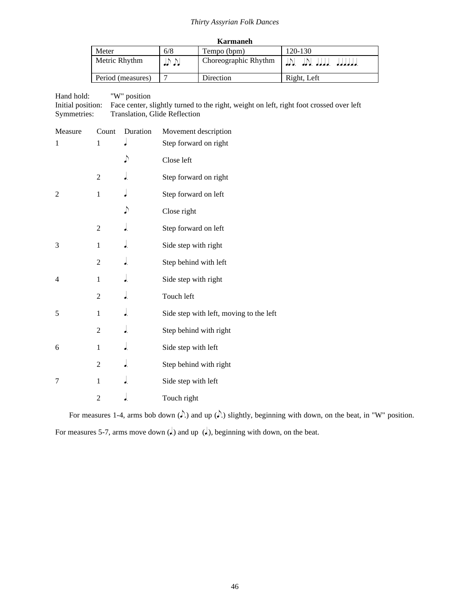| Karmaneh          |         |                      |                                        |  |
|-------------------|---------|----------------------|----------------------------------------|--|
| Meter             | 6/8     | Tempo (bpm)          | 120-130                                |  |
| Metric Rhythm     | لار (با | Choreographic Rhythm | بالمادلولولولي بالمادلول ولادلس ولاداد |  |
| Period (measures) |         | Direction            | Right, Left                            |  |

Hand hold: "W" position Initial position: Face center, slightly turned to the right, weight on left, right foot crossed over left Symmetries: Translation, Glide Reflection

| Measure        | Count          | Duration | Movement description                    |
|----------------|----------------|----------|-----------------------------------------|
| 1              | 1              |          | Step forward on right                   |
|                |                | ♪        | Close left                              |
|                | $\overline{2}$ | d.       | Step forward on right                   |
| $\overline{2}$ | $\mathbf{1}$   |          | Step forward on left                    |
|                |                | ♪        | Close right                             |
|                | $\overline{2}$ | ٠.       | Step forward on left                    |
| 3              | $\mathbf{1}$   | J.       | Side step with right                    |
|                | $\overline{2}$ | J        | Step behind with left                   |
| $\overline{4}$ | $\mathbf{1}$   | J.       | Side step with right                    |
|                | $\overline{2}$ | J.       | Touch left                              |
| 5              | $\mathbf{1}$   | J        | Side step with left, moving to the left |
|                | $\overline{2}$ | J        | Step behind with right                  |
| 6              | 1              | J.       | Side step with left                     |
|                | $\overline{2}$ | J.       | Step behind with right                  |
| 7              | 1              | ۰.       | Side step with left                     |
|                | $\overline{2}$ | J.       | Touch right                             |

For measures 1-4, arms bob down  $($ .) and up  $($ .) slightly, beginning with down, on the beat, in "W" position. For measures 5-7, arms move down  $(d)$  and up  $(d)$ , beginning with down, on the beat.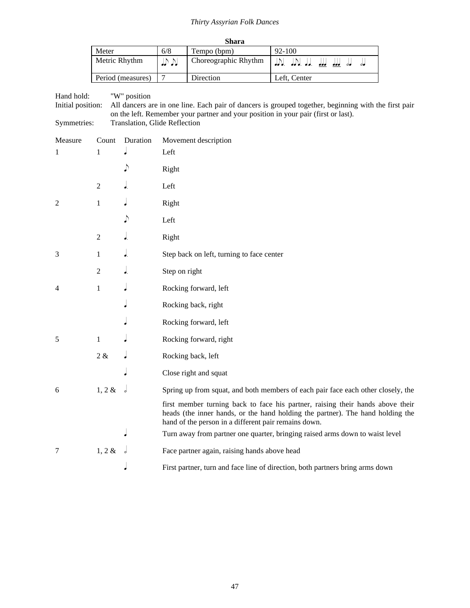| Shara             |     |                      |                                                                |  |
|-------------------|-----|----------------------|----------------------------------------------------------------|--|
| Meter             | 6/8 | Tempo (bpm)          | $92 - 100$                                                     |  |
| Metric Rhythm     | いい  | Choreographic Rhythm | الحاف الحاف <u>الحاف الحافي</u> العام العام العام العام المحاف |  |
| Period (measures) |     | Direction            | Left, Center                                                   |  |

#### Hand hold: "W" position

Initial position: All dancers are in one line. Each pair of dancers is grouped together, beginning with the first pair on the left. Remember your partner and your position in your pair (first or last). Symmetries: Translation, Glide Reflection

| Measure | Count          | Duration | Movement description                                                                                                                                                                                                     |
|---------|----------------|----------|--------------------------------------------------------------------------------------------------------------------------------------------------------------------------------------------------------------------------|
| 1       | 1              |          | Left                                                                                                                                                                                                                     |
|         |                | ♪        | Right                                                                                                                                                                                                                    |
|         | $\overline{2}$ |          | Left                                                                                                                                                                                                                     |
| 2       | 1              |          | Right                                                                                                                                                                                                                    |
|         |                | ♪        | Left                                                                                                                                                                                                                     |
|         | $\overline{2}$ | J.       | Right                                                                                                                                                                                                                    |
| 3       | 1              | J.       | Step back on left, turning to face center                                                                                                                                                                                |
|         | $\overline{2}$ | J.       | Step on right                                                                                                                                                                                                            |
| 4       | $\mathbf{1}$   |          | Rocking forward, left                                                                                                                                                                                                    |
|         |                |          | Rocking back, right                                                                                                                                                                                                      |
|         |                |          | Rocking forward, left                                                                                                                                                                                                    |
| 5       | $\mathbf{1}$   |          | Rocking forward, right                                                                                                                                                                                                   |
|         | $2 \, \&$      |          | Rocking back, left                                                                                                                                                                                                       |
|         |                |          | Close right and squat                                                                                                                                                                                                    |
| 6       | $1, 2 \&$      |          | Spring up from squat, and both members of each pair face each other closely, the                                                                                                                                         |
|         |                |          | first member turning back to face his partner, raising their hands above their<br>heads (the inner hands, or the hand holding the partner). The hand holding the<br>hand of the person in a different pair remains down. |
|         |                |          | Turn away from partner one quarter, bringing raised arms down to waist level                                                                                                                                             |
| 7       | $1, 2 \&$      |          | Face partner again, raising hands above head                                                                                                                                                                             |
|         |                |          | First partner, turn and face line of direction, both partners bring arms down                                                                                                                                            |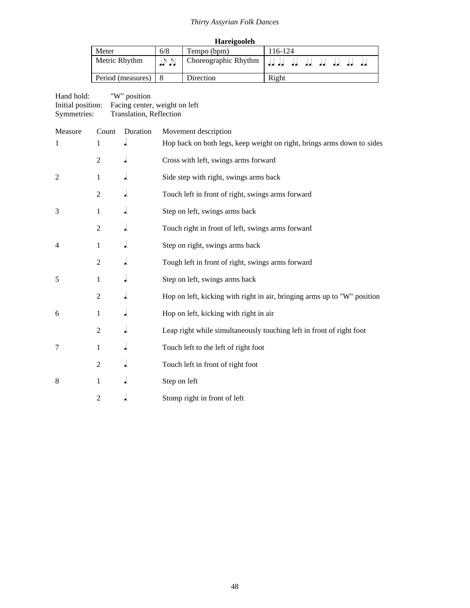| Hareigooleh           |                               |           |       |  |  |
|-----------------------|-------------------------------|-----------|-------|--|--|
| Meter                 | 6/8<br>116-124<br>Tempo (bpm) |           |       |  |  |
| Metric Rhythm         | いい                            |           |       |  |  |
| Period (measures)   8 |                               | Direction | Right |  |  |

### Hand hold: "W" position Initial position: Facing center, weight on left Symmetries: Translation, Reflection

| Measure        | Count          | Duration                   | Movement description                                                     |
|----------------|----------------|----------------------------|--------------------------------------------------------------------------|
| 1              | 1              | $\overline{\phantom{a}}$ . | Hop back on both legs, keep weight on right, brings arms down to sides   |
|                | $\overline{2}$ | $\cdot$                    | Cross with left, swings arms forward                                     |
| $\overline{2}$ | $\mathbf{1}$   | $\int$                     | Side step with right, swings arms back                                   |
|                | $\overline{2}$ | J                          | Touch left in front of right, swings arms forward                        |
| 3              | 1              | J.                         | Step on left, swings arms back                                           |
|                | $\mathfrak{2}$ | $\overline{\phantom{a}}$ . | Touch right in front of left, swings arms forward                        |
| $\overline{4}$ | 1              | J                          | Step on right, swings arms back                                          |
|                | $\mathfrak{2}$ | ۰.                         | Tough left in front of right, swings arms forward                        |
| 5              | 1              | J                          | Step on left, swings arms back                                           |
|                | $\overline{2}$ | $\int$                     | Hop on left, kicking with right in air, bringing arms up to "W" position |
| 6              | $\mathbf{1}$   | J                          | Hop on left, kicking with right in air                                   |
|                | $\overline{2}$ | $\overline{\phantom{a}}$   | Leap right while simultaneously touching left in front of right foot     |
| 7              | $\mathbf{1}$   | $\int$                     | Touch left to the left of right foot                                     |
|                | $\overline{c}$ | $\int$                     | Touch left in front of right foot                                        |
| 8              | $\mathbf{1}$   | J                          | Step on left                                                             |
|                | $\overline{2}$ | J.                         | Stomp right in front of left                                             |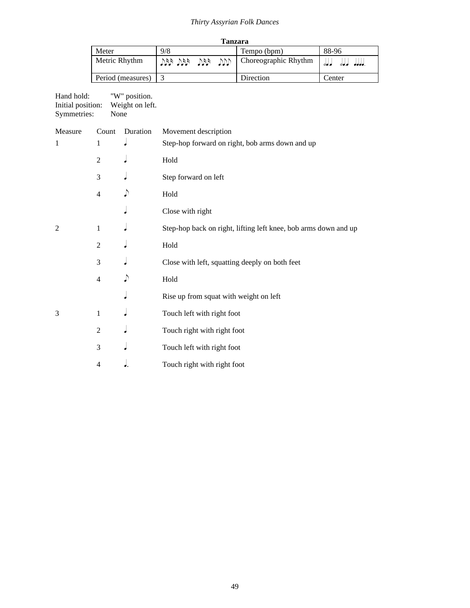| Tanzara           |                |  |  |                      |                        |
|-------------------|----------------|--|--|----------------------|------------------------|
| Meter             | 9/8            |  |  | Tempo (bpm)          | 88-96                  |
| Metric Rhythm     | UU 441 441 441 |  |  | Choreographic Rhythm | المالي<br>00.0<br>00.0 |
| Period (measures) |                |  |  | Direction            | Center                 |

Hand hold: "W" position. Initial position: Weight on left. Symmetries: None

| Measure        | Count          | Duration | Movement description                                            |
|----------------|----------------|----------|-----------------------------------------------------------------|
| 1              | 1              |          | Step-hop forward on right, bob arms down and up                 |
|                | $\overline{2}$ |          | Hold                                                            |
|                | 3              |          | Step forward on left                                            |
|                | $\overline{4}$ |          | Hold                                                            |
|                |                |          | Close with right                                                |
| $\overline{2}$ | $\mathbf{1}$   |          | Step-hop back on right, lifting left knee, bob arms down and up |
|                | $\overline{2}$ |          | Hold                                                            |
|                | 3              |          | Close with left, squatting deeply on both feet                  |
|                | $\overline{4}$ |          | Hold                                                            |
|                |                |          | Rise up from squat with weight on left                          |
| 3              | 1              |          | Touch left with right foot                                      |
|                | $\overline{2}$ |          | Touch right with right foot                                     |
|                | 3              |          | Touch left with right foot                                      |
|                | 4              |          | Touch right with right foot                                     |